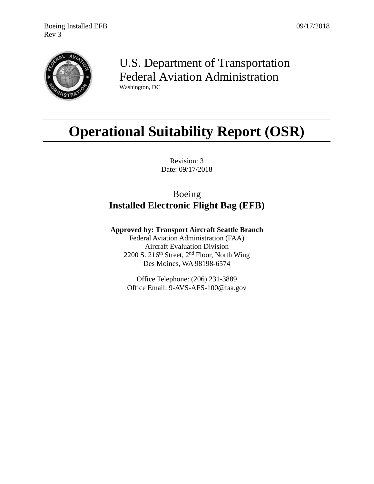

## U.S. Department of Transportation Federal Aviation Administration Washington, DC

# **Operational Suitability Report (OSR)**

Revision: 3 Date: 09/17/2018

## Boeing **Installed Electronic Flight Bag (EFB)**

**Approved by: Transport Aircraft Seattle Branch**

Federal Aviation Administration (FAA) Aircraft Evaluation Division 2200 S. 216<sup>th</sup> Street,  $2<sup>nd</sup>$  Floor, North Wing Des Moines, WA 98198-6574

Office Telephone: (206) 231-3889 Office Email: 9-AVS-AFS-100@faa.gov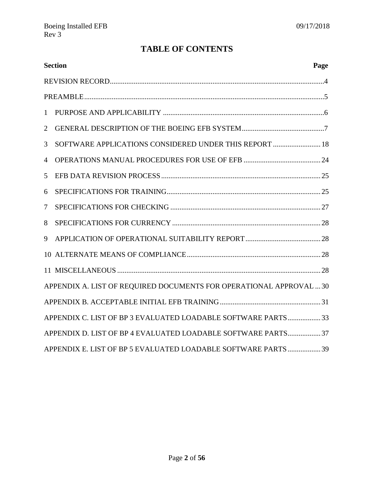## **TABLE OF CONTENTS**

|                | <b>Section</b><br>Page                                              |  |  |  |
|----------------|---------------------------------------------------------------------|--|--|--|
|                |                                                                     |  |  |  |
|                |                                                                     |  |  |  |
| 1              |                                                                     |  |  |  |
| $\overline{2}$ |                                                                     |  |  |  |
| 3              | SOFTWARE APPLICATIONS CONSIDERED UNDER THIS REPORT  18              |  |  |  |
| 4              |                                                                     |  |  |  |
| 5              |                                                                     |  |  |  |
| 6              |                                                                     |  |  |  |
| 7              |                                                                     |  |  |  |
| 8              |                                                                     |  |  |  |
| 9              |                                                                     |  |  |  |
|                |                                                                     |  |  |  |
|                |                                                                     |  |  |  |
|                | APPENDIX A. LIST OF REQUIRED DOCUMENTS FOR OPERATIONAL APPROVAL  30 |  |  |  |
|                |                                                                     |  |  |  |
|                | APPENDIX C. LIST OF BP 3 EVALUATED LOADABLE SOFTWARE PARTS 33       |  |  |  |
|                | APPENDIX D. LIST OF BP 4 EVALUATED LOADABLE SOFTWARE PARTS 37       |  |  |  |
|                | APPENDIX E. LIST OF BP 5 EVALUATED LOADABLE SOFTWARE PARTS 39       |  |  |  |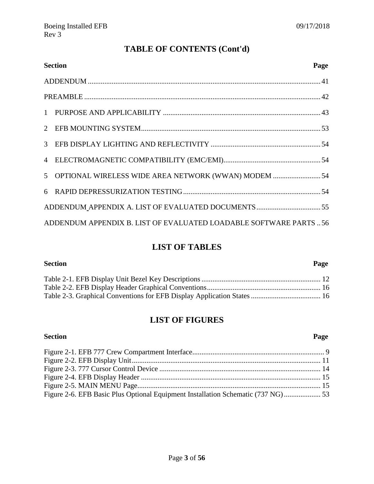## **TABLE OF CONTENTS (Cont'd)**

| <b>Section</b>                                                     | Page |
|--------------------------------------------------------------------|------|
|                                                                    |      |
|                                                                    |      |
|                                                                    |      |
|                                                                    |      |
|                                                                    |      |
|                                                                    |      |
| 5 OPTIONAL WIRELESS WIDE AREA NETWORK (WWAN) MODEM  54             |      |
|                                                                    |      |
|                                                                    |      |
| ADDENDUM APPENDIX B. LIST OF EVALUATED LOADABLE SOFTWARE PARTS  56 |      |

### **LIST OF TABLES**

**Section Page**

## **LIST OF FIGURES**

| Figure 2-6. EFB Basic Plus Optional Equipment Installation Schematic (737 NG) 53 |  |
|----------------------------------------------------------------------------------|--|

## **Section Page**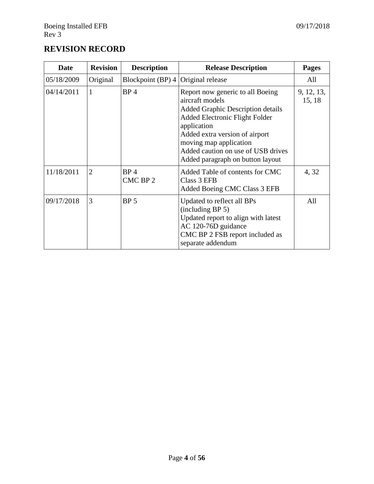## <span id="page-3-0"></span>**REVISION RECORD**

| Date       | <b>Revision</b> | <b>Description</b>          | <b>Release Description</b>                                                                                                                                                                                                                                                      | <b>Pages</b>         |
|------------|-----------------|-----------------------------|---------------------------------------------------------------------------------------------------------------------------------------------------------------------------------------------------------------------------------------------------------------------------------|----------------------|
| 05/18/2009 | Original        | Blockpoint (BP) 4           | Original release                                                                                                                                                                                                                                                                | All                  |
| 04/14/2011 | 1               | BP <sub>4</sub>             | Report now generic to all Boeing<br>aircraft models<br>Added Graphic Description details<br>Added Electronic Flight Folder<br>application<br>Added extra version of airport<br>moving map application<br>Added caution on use of USB drives<br>Added paragraph on button layout | 9, 12, 13,<br>15, 18 |
| 11/18/2011 | $\overline{2}$  | BP <sub>4</sub><br>CMC BP 2 | Added Table of contents for CMC<br>Class 3 EFB<br>Added Boeing CMC Class 3 EFB                                                                                                                                                                                                  | 4,32                 |
| 09/17/2018 | 3               | BP <sub>5</sub>             | Updated to reflect all BPs<br>(including BP 5)<br>Updated report to align with latest<br>AC 120-76D guidance<br>CMC BP 2 FSB report included as<br>separate addendum                                                                                                            | All                  |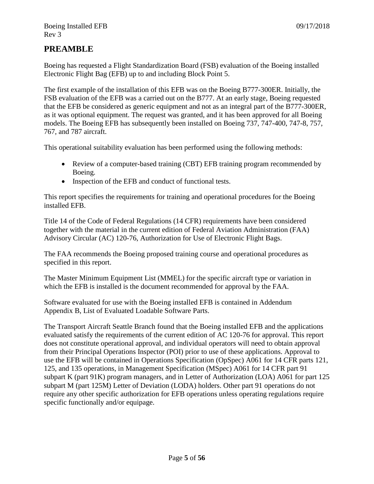#### <span id="page-4-0"></span>**PREAMBLE**

Boeing has requested a Flight Standardization Board (FSB) evaluation of the Boeing installed Electronic Flight Bag (EFB) up to and including Block Point 5.

The first example of the installation of this EFB was on the Boeing B777-300ER. Initially, the FSB evaluation of the EFB was a carried out on the B777. At an early stage, Boeing requested that the EFB be considered as generic equipment and not as an integral part of the B777-300ER, as it was optional equipment. The request was granted, and it has been approved for all Boeing models. The Boeing EFB has subsequently been installed on Boeing 737, 747-400, 747-8, 757, 767, and 787 aircraft.

This operational suitability evaluation has been performed using the following methods:

- Review of a computer-based training (CBT) EFB training program recommended by Boeing.
- Inspection of the EFB and conduct of functional tests.

This report specifies the requirements for training and operational procedures for the Boeing installed EFB.

Title 14 of the Code of Federal Regulations (14 CFR) requirements have been considered together with the material in the current edition of Federal Aviation Administration (FAA) Advisory Circular (AC) 120-76, Authorization for Use of Electronic Flight Bags.

The FAA recommends the Boeing proposed training course and operational procedures as specified in this report.

The Master Minimum Equipment List (MMEL) for the specific aircraft type or variation in which the EFB is installed is the document recommended for approval by the FAA.

Software evaluated for use with the Boeing installed EFB is contained in Addendum Appendix B, List of Evaluated Loadable Software Parts.

The Transport Aircraft Seattle Branch found that the Boeing installed EFB and the applications evaluated satisfy the requirements of the current edition of AC 120-76 for approval. This report does not constitute operational approval, and individual operators will need to obtain approval from their Principal Operations Inspector (POI) prior to use of these applications. Approval to use the EFB will be contained in Operations Specification (OpSpec) A061 for 14 CFR parts 121, 125, and 135 operations, in Management Specification (MSpec) A061 for 14 CFR part 91 subpart K (part 91K) program managers, and in Letter of Authorization (LOA) A061 for part 125 subpart M (part 125M) Letter of Deviation (LODA) holders. Other part 91 operations do not require any other specific authorization for EFB operations unless operating regulations require specific functionally and/or equipage.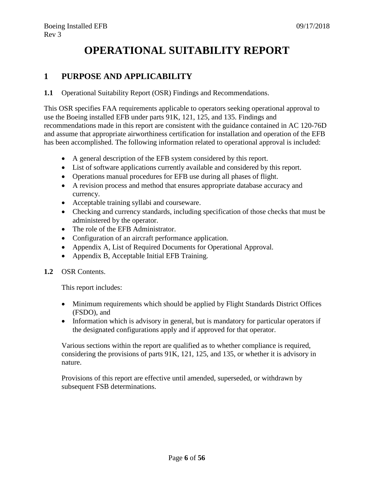## **OPERATIONAL SUITABILITY REPORT**

## <span id="page-5-0"></span>**1 PURPOSE AND APPLICABILITY**

**1.1** Operational Suitability Report (OSR) Findings and Recommendations.

This OSR specifies FAA requirements applicable to operators seeking operational approval to use the Boeing installed EFB under parts 91K, 121, 125, and 135. Findings and recommendations made in this report are consistent with the guidance contained in AC 120-76D and assume that appropriate airworthiness certification for installation and operation of the EFB has been accomplished. The following information related to operational approval is included:

- A general description of the EFB system considered by this report.
- List of software applications currently available and considered by this report.
- Operations manual procedures for EFB use during all phases of flight.
- A revision process and method that ensures appropriate database accuracy and currency.
- Acceptable training syllabi and courseware.
- Checking and currency standards, including specification of those checks that must be administered by the operator.
- The role of the EFB Administrator.
- Configuration of an aircraft performance application.
- Appendix A, List of Required Documents for Operational Approval.
- Appendix B, Acceptable Initial EFB Training.
- **1.2** OSR Contents.

This report includes:

- Minimum requirements which should be applied by Flight Standards District Offices (FSDO), and
- Information which is advisory in general, but is mandatory for particular operators if the designated configurations apply and if approved for that operator.

Various sections within the report are qualified as to whether compliance is required, considering the provisions of parts 91K, 121, 125, and 135, or whether it is advisory in nature.

Provisions of this report are effective until amended, superseded, or withdrawn by subsequent FSB determinations.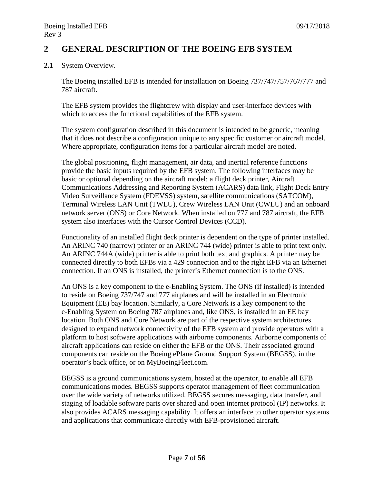#### <span id="page-6-0"></span>**2 GENERAL DESCRIPTION OF THE BOEING EFB SYSTEM**

**2.1** System Overview.

The Boeing installed EFB is intended for installation on Boeing 737/747/757/767/777 and 787 aircraft.

The EFB system provides the flightcrew with display and user-interface devices with which to access the functional capabilities of the EFB system.

The system configuration described in this document is intended to be generic, meaning that it does not describe a configuration unique to any specific customer or aircraft model. Where appropriate, configuration items for a particular aircraft model are noted.

The global positioning, flight management, air data, and inertial reference functions provide the basic inputs required by the EFB system. The following interfaces may be basic or optional depending on the aircraft model: a flight deck printer, Aircraft Communications Addressing and Reporting System (ACARS) data link, Flight Deck Entry Video Surveillance System (FDEVSS) system, satellite communications (SATCOM), Terminal Wireless LAN Unit (TWLU), Crew Wireless LAN Unit (CWLU) and an onboard network server (ONS) or Core Network. When installed on 777 and 787 aircraft, the EFB system also interfaces with the Cursor Control Devices (CCD).

Functionality of an installed flight deck printer is dependent on the type of printer installed. An ARINC 740 (narrow) printer or an ARINC 744 (wide) printer is able to print text only. An ARINC 744A (wide) printer is able to print both text and graphics. A printer may be connected directly to both EFBs via a 429 connection and to the right EFB via an Ethernet connection. If an ONS is installed, the printer's Ethernet connection is to the ONS.

An ONS is a key component to the e-Enabling System. The ONS (if installed) is intended to reside on Boeing 737/747 and 777 airplanes and will be installed in an Electronic Equipment (EE) bay location. Similarly, a Core Network is a key component to the e-Enabling System on Boeing 787 airplanes and, like ONS, is installed in an EE bay location. Both ONS and Core Network are part of the respective system architectures designed to expand network connectivity of the EFB system and provide operators with a platform to host software applications with airborne components. Airborne components of aircraft applications can reside on either the EFB or the ONS. Their associated ground components can reside on the Boeing ePlane Ground Support System (BEGSS), in the operator's back office, or on MyBoeingFleet.com.

BEGSS is a ground communications system, hosted at the operator, to enable all EFB communications modes. BEGSS supports operator management of fleet communication over the wide variety of networks utilized. BEGSS secures messaging, data transfer, and staging of loadable software parts over shared and open internet protocol (IP) networks. It also provides ACARS messaging capability. It offers an interface to other operator systems and applications that communicate directly with EFB-provisioned aircraft.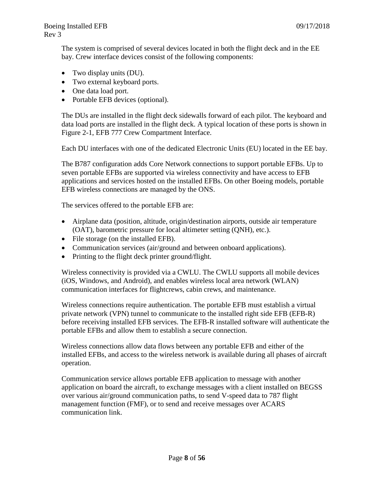The system is comprised of several devices located in both the flight deck and in the EE bay. Crew interface devices consist of the following components:

- Two display units (DU).
- Two external keyboard ports.
- One data load port.
- Portable EFB devices (optional).

The DUs are installed in the flight deck sidewalls forward of each pilot. The keyboard and data load ports are installed in the flight deck. A typical location of these ports is shown in Figure 2-1, EFB 777 Crew Compartment Interface.

Each DU interfaces with one of the dedicated Electronic Units (EU) located in the EE bay.

The B787 configuration adds Core Network connections to support portable EFBs. Up to seven portable EFBs are supported via wireless connectivity and have access to EFB applications and services hosted on the installed EFBs. On other Boeing models, portable EFB wireless connections are managed by the ONS.

The services offered to the portable EFB are:

- Airplane data (position, altitude, origin/destination airports, outside air temperature (OAT), barometric pressure for local altimeter setting (QNH), etc.).
- File storage (on the installed EFB).
- Communication services (air/ground and between onboard applications).
- Printing to the flight deck printer ground/flight.

Wireless connectivity is provided via a CWLU. The CWLU supports all mobile devices (iOS, Windows, and Android), and enables wireless local area network (WLAN) communication interfaces for flightcrews, cabin crews, and maintenance.

Wireless connections require authentication. The portable EFB must establish a virtual private network (VPN) tunnel to communicate to the installed right side EFB (EFB-R) before receiving installed EFB services. The EFB-R installed software will authenticate the portable EFBs and allow them to establish a secure connection.

Wireless connections allow data flows between any portable EFB and either of the installed EFBs, and access to the wireless network is available during all phases of aircraft operation.

Communication service allows portable EFB application to message with another application on board the aircraft, to exchange messages with a client installed on BEGSS over various air/ground communication paths, to send V-speed data to 787 flight management function (FMF), or to send and receive messages over ACARS communication link.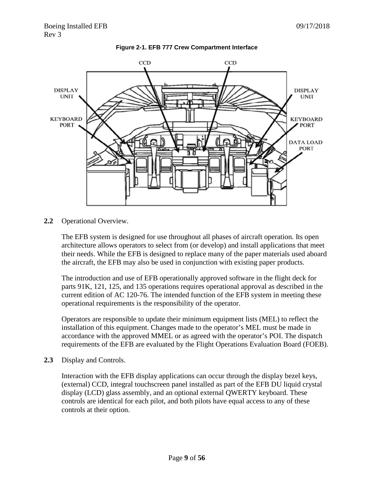<span id="page-8-0"></span>



**2.2** Operational Overview.

The EFB system is designed for use throughout all phases of aircraft operation. Its open architecture allows operators to select from (or develop) and install applications that meet their needs. While the EFB is designed to replace many of the paper materials used aboard the aircraft, the EFB may also be used in conjunction with existing paper products.

The introduction and use of EFB operationally approved software in the flight deck for parts 91K, 121, 125, and 135 operations requires operational approval as described in the current edition of AC 120-76. The intended function of the EFB system in meeting these operational requirements is the responsibility of the operator.

Operators are responsible to update their minimum equipment lists (MEL) to reflect the installation of this equipment. Changes made to the operator's MEL must be made in accordance with the approved MMEL or as agreed with the operator's POI. The dispatch requirements of the EFB are evaluated by the Flight Operations Evaluation Board (FOEB).

**2.3** Display and Controls.

Interaction with the EFB display applications can occur through the display bezel keys, (external) CCD, integral touchscreen panel installed as part of the EFB DU liquid crystal display (LCD) glass assembly, and an optional external QWERTY keyboard. These controls are identical for each pilot, and both pilots have equal access to any of these controls at their option.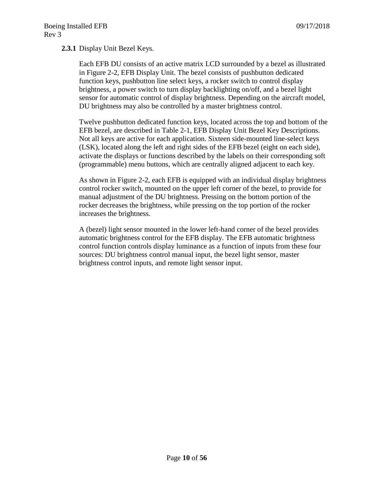#### **2.3.1** Display Unit Bezel Keys.

Each EFB DU consists of an active matrix LCD surrounded by a bezel as illustrated in Figure 2-2, EFB Display Unit. The bezel consists of pushbutton dedicated function keys, pushbutton line select keys, a rocker switch to control display brightness, a power switch to turn display backlighting on/off, and a bezel light sensor for automatic control of display brightness. Depending on the aircraft model, DU brightness may also be controlled by a master brightness control.

Twelve pushbutton dedicated function keys, located across the top and bottom of the EFB bezel, are described in Table 2-1, EFB Display Unit Bezel Key Descriptions. Not all keys are active for each application. Sixteen side-mounted line-select keys (LSK), located along the left and right sides of the EFB bezel (eight on each side), activate the displays or functions described by the labels on their corresponding soft (programmable) menu buttons, which are centrally aligned adjacent to each key.

As shown in Figure 2-2, each EFB is equipped with an individual display brightness control rocker switch, mounted on the upper left corner of the bezel, to provide for manual adjustment of the DU brightness. Pressing on the bottom portion of the rocker decreases the brightness, while pressing on the top portion of the rocker increases the brightness.

A (bezel) light sensor mounted in the lower left-hand corner of the bezel provides automatic brightness control for the EFB display. The EFB automatic brightness control function controls display luminance as a function of inputs from these four sources: DU brightness control manual input, the bezel light sensor, master brightness control inputs, and remote light sensor input.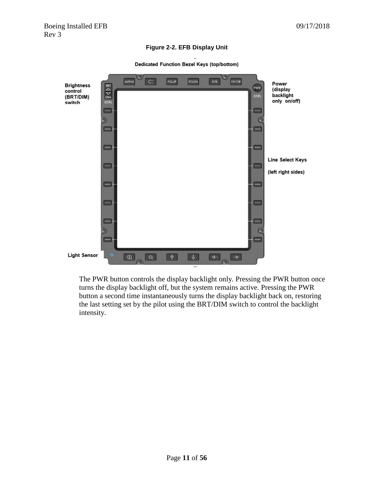#### **Figure 2-2. EFB Display Unit**

Dedicated Function Bezel Keys (top/bottom)

<span id="page-10-0"></span>

The PWR button controls the display backlight only. Pressing the PWR button once turns the display backlight off, but the system remains active. Pressing the PWR button a second time instantaneously turns the display backlight back on, restoring the last setting set by the pilot using the BRT/DIM switch to control the backlight intensity.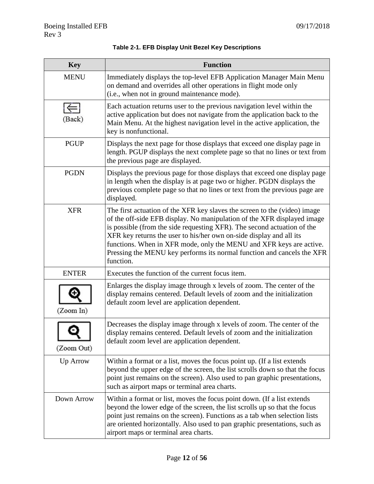<span id="page-11-0"></span>

| <b>Key</b>   | <b>Function</b>                                                                                                                                                                                                                                                                                                                                                                                                                                                      |
|--------------|----------------------------------------------------------------------------------------------------------------------------------------------------------------------------------------------------------------------------------------------------------------------------------------------------------------------------------------------------------------------------------------------------------------------------------------------------------------------|
| <b>MENU</b>  | Immediately displays the top-level EFB Application Manager Main Menu<br>on demand and overrides all other operations in flight mode only<br>(i.e., when not in ground maintenance mode).                                                                                                                                                                                                                                                                             |
| (Back)       | Each actuation returns user to the previous navigation level within the<br>active application but does not navigate from the application back to the<br>Main Menu. At the highest navigation level in the active application, the<br>key is nonfunctional.                                                                                                                                                                                                           |
| <b>PGUP</b>  | Displays the next page for those displays that exceed one display page in<br>length. PGUP displays the next complete page so that no lines or text from<br>the previous page are displayed.                                                                                                                                                                                                                                                                          |
| <b>PGDN</b>  | Displays the previous page for those displays that exceed one display page<br>in length when the display is at page two or higher. PGDN displays the<br>previous complete page so that no lines or text from the previous page are<br>displayed.                                                                                                                                                                                                                     |
| <b>XFR</b>   | The first actuation of the XFR key slaves the screen to the (video) image<br>of the off-side EFB display. No manipulation of the XFR displayed image<br>is possible (from the side requesting XFR). The second actuation of the<br>XFR key returns the user to his/her own on-side display and all its<br>functions. When in XFR mode, only the MENU and XFR keys are active.<br>Pressing the MENU key performs its normal function and cancels the XFR<br>function. |
| <b>ENTER</b> | Executes the function of the current focus item.                                                                                                                                                                                                                                                                                                                                                                                                                     |
| (Zoom In)    | Enlarges the display image through x levels of zoom. The center of the<br>display remains centered. Default levels of zoom and the initialization<br>default zoom level are application dependent.                                                                                                                                                                                                                                                                   |
| (Zoom Out)   | Decreases the display image through x levels of zoom. The center of the<br>display remains centered. Default levels of zoom and the initialization<br>default zoom level are application dependent.                                                                                                                                                                                                                                                                  |
| Up Arrow     | Within a format or a list, moves the focus point up. (If a list extends<br>beyond the upper edge of the screen, the list scrolls down so that the focus<br>point just remains on the screen). Also used to pan graphic presentations,<br>such as airport maps or terminal area charts.                                                                                                                                                                               |
| Down Arrow   | Within a format or list, moves the focus point down. (If a list extends<br>beyond the lower edge of the screen, the list scrolls up so that the focus<br>point just remains on the screen). Functions as a tab when selection lists<br>are oriented horizontally. Also used to pan graphic presentations, such as<br>airport maps or terminal area charts.                                                                                                           |

#### **Table 2-1. EFB Display Unit Bezel Key Descriptions**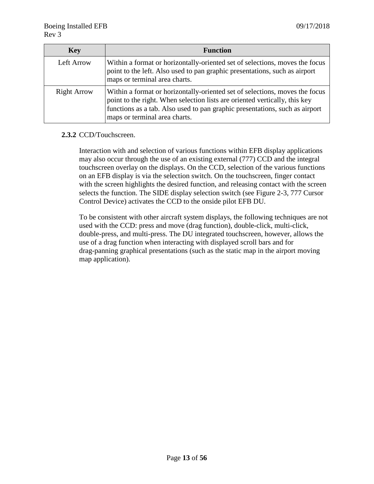| <b>Key</b>         | <b>Function</b>                                                                                                                                                                                                                                                           |  |
|--------------------|---------------------------------------------------------------------------------------------------------------------------------------------------------------------------------------------------------------------------------------------------------------------------|--|
| Left Arrow         | Within a format or horizontally-oriented set of selections, moves the focus<br>point to the left. Also used to pan graphic presentations, such as airport<br>maps or terminal area charts.                                                                                |  |
| <b>Right Arrow</b> | Within a format or horizontally-oriented set of selections, moves the focus<br>point to the right. When selection lists are oriented vertically, this key<br>functions as a tab. Also used to pan graphic presentations, such as airport<br>maps or terminal area charts. |  |

#### **2.3.2** CCD/Touchscreen.

Interaction with and selection of various functions within EFB display applications may also occur through the use of an existing external (777) CCD and the integral touchscreen overlay on the displays. On the CCD, selection of the various functions on an EFB display is via the selection switch. On the touchscreen, finger contact with the screen highlights the desired function, and releasing contact with the screen selects the function. The SIDE display selection switch (see Figure 2-3, 777 Cursor Control Device) activates the CCD to the onside pilot EFB DU.

To be consistent with other aircraft system displays, the following techniques are not used with the CCD: press and move (drag function), double-click, multi-click, double-press, and multi-press. The DU integrated touchscreen, however, allows the use of a drag function when interacting with displayed scroll bars and for drag-panning graphical presentations (such as the static map in the airport moving map application).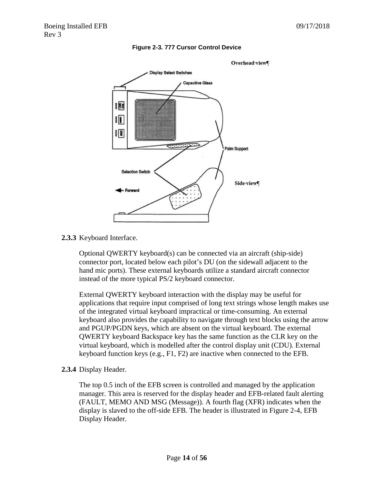<span id="page-13-0"></span>

#### **Figure 2-3. 777 Cursor Control Device**

**2.3.3** Keyboard Interface.

Optional QWERTY keyboard(s) can be connected via an aircraft (ship-side) connector port, located below each pilot's DU (on the sidewall adjacent to the hand mic ports). These external keyboards utilize a standard aircraft connector instead of the more typical PS/2 keyboard connector.

External QWERTY keyboard interaction with the display may be useful for applications that require input comprised of long text strings whose length makes use of the integrated virtual keyboard impractical or time-consuming. An external keyboard also provides the capability to navigate through text blocks using the arrow and PGUP/PGDN keys, which are absent on the virtual keyboard. The external QWERTY keyboard Backspace key has the same function as the CLR key on the virtual keyboard, which is modelled after the control display unit (CDU). External keyboard function keys (e.g., F1, F2) are inactive when connected to the EFB.

**2.3.4** Display Header.

The top 0.5 inch of the EFB screen is controlled and managed by the application manager. This area is reserved for the display header and EFB-related fault alerting (FAULT, MEMO AND MSG (Message)). A fourth flag (XFR) indicates when the display is slaved to the off-side EFB. The header is illustrated in Figure 2-4, EFB Display Header.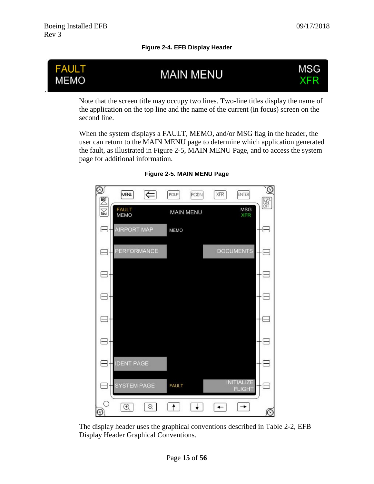**Figure 2-4. EFB Display Header**

<span id="page-14-0"></span>

Note that the screen title may occupy two lines. Two-line titles display the name of the application on the top line and the name of the current (in focus) screen on the second line.

<span id="page-14-1"></span>When the system displays a FAULT, MEMO, and/or MSG flag in the header, the user can return to the MAIN MENU page to determine which application generated the fault, as illustrated in Figure 2-5, MAIN MENU Page, and to access the system page for additional information.

| $\circledcirc$<br>$\mathbb{R}^7$ | <b>MENU</b>          | ⊫ | PGUP         | PGDN             | <b>XFR</b> | <b>ENTER</b>                       | $^\circledR$<br>$\frac{OSPL}{OSV}$ |
|----------------------------------|----------------------|---|--------------|------------------|------------|------------------------------------|------------------------------------|
| $\sum_{DN}$                      | <b>FAULT</b><br>MEMO |   |              | <b>MAIN MENU</b> |            | <b>MSG</b><br><b>XFR</b>           |                                    |
|                                  | <b>AIRPORT MAP</b>   |   | MEMO         |                  |            |                                    |                                    |
|                                  | PERFORMANCE          |   |              |                  |            | <b>DOCUMENTS</b>                   |                                    |
|                                  |                      |   |              |                  |            |                                    |                                    |
|                                  |                      |   |              |                  |            |                                    |                                    |
|                                  |                      |   |              |                  |            |                                    |                                    |
|                                  |                      |   |              |                  |            |                                    |                                    |
|                                  | <b>IDENT PAGE</b>    |   |              |                  |            |                                    |                                    |
|                                  | SYSTEM PAGE          |   | <b>FAULT</b> |                  |            | <b>INITIALIZE</b><br><b>FLIGHT</b> |                                    |
| ∩<br>$  \odot$                   | $\odot$              | Θ |              |                  |            |                                    | $_{\odot}$                         |

**Figure 2-5. MAIN MENU Page**

The display header uses the graphical conventions described in Table 2-2, EFB Display Header Graphical Conventions.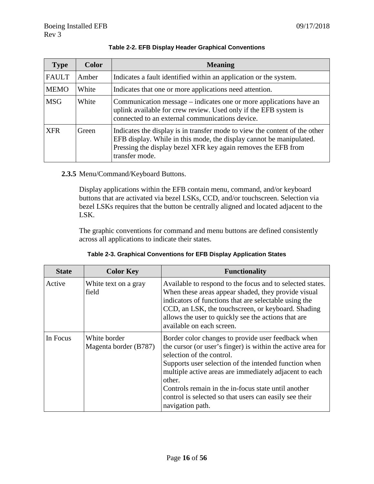<span id="page-15-0"></span>

| <b>Type</b>  | <b>Color</b> | <b>Meaning</b>                                                                                                                                                                                                                       |  |
|--------------|--------------|--------------------------------------------------------------------------------------------------------------------------------------------------------------------------------------------------------------------------------------|--|
| <b>FAULT</b> | Amber        | Indicates a fault identified within an application or the system.                                                                                                                                                                    |  |
| <b>MEMO</b>  | White        | Indicates that one or more applications need attention.                                                                                                                                                                              |  |
| <b>MSG</b>   | White        | Communication message – indicates one or more applications have an<br>uplink available for crew review. Used only if the EFB system is<br>connected to an external communications device.                                            |  |
| <b>XFR</b>   | Green        | Indicates the display is in transfer mode to view the content of the other<br>EFB display. While in this mode, the display cannot be manipulated.<br>Pressing the display bezel XFR key again removes the EFB from<br>transfer mode. |  |

#### **Table 2-2. EFB Display Header Graphical Conventions**

#### **2.3.5** Menu/Command/Keyboard Buttons.

Display applications within the EFB contain menu, command, and/or keyboard buttons that are activated via bezel LSKs, CCD, and/or touchscreen. Selection via bezel LSKs requires that the button be centrally aligned and located adjacent to the LSK.

The graphic conventions for command and menu buttons are defined consistently across all applications to indicate their states.

<span id="page-15-1"></span>

| <b>State</b> | <b>Color Key</b>                      | <b>Functionality</b>                                                                                                                                                                                                                                                                                                                                                                                             |
|--------------|---------------------------------------|------------------------------------------------------------------------------------------------------------------------------------------------------------------------------------------------------------------------------------------------------------------------------------------------------------------------------------------------------------------------------------------------------------------|
| Active       | White text on a gray<br>field         | Available to respond to the focus and to selected states.<br>When these areas appear shaded, they provide visual<br>indicators of functions that are selectable using the<br>CCD, an LSK, the touchscreen, or keyboard. Shading<br>allows the user to quickly see the actions that are<br>available on each screen.                                                                                              |
| In Focus     | White border<br>Magenta border (B787) | Border color changes to provide user feedback when<br>the cursor (or user's finger) is within the active area for<br>selection of the control.<br>Supports user selection of the intended function when<br>multiple active areas are immediately adjacent to each<br>other.<br>Controls remain in the in-focus state until another<br>control is selected so that users can easily see their<br>navigation path. |

**Table 2-3. Graphical Conventions for EFB Display Application States**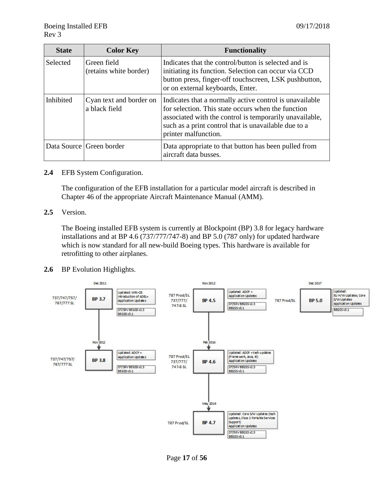| <b>State</b>    | <b>Color Key</b>                         | <b>Functionality</b>                                                                                                                                                                                                                                     |
|-----------------|------------------------------------------|----------------------------------------------------------------------------------------------------------------------------------------------------------------------------------------------------------------------------------------------------------|
| <b>Selected</b> | Green field<br>(retains white border)    | Indicates that the control/button is selected and is<br>initiating its function. Selection can occur via CCD<br>button press, finger-off touchscreen, LSK pushbutton,<br>or on external keyboards, Enter.                                                |
| Inhibited       | Cyan text and border on<br>a black field | Indicates that a normally active control is unavailable<br>for selection. This state occurs when the function<br>associated with the control is temporarily unavailable,<br>such as a print control that is unavailable due to a<br>printer malfunction. |
|                 | Data Source Green border                 | Data appropriate to that button has been pulled from<br>aircraft data busses.                                                                                                                                                                            |

#### **2.4** EFB System Configuration.

The configuration of the EFB installation for a particular model aircraft is described in Chapter 46 of the appropriate Aircraft Maintenance Manual (AMM).

#### **2.5** Version.

The Boeing installed EFB system is currently at Blockpoint (BP) 3.8 for legacy hardware installations and at BP 4.6 (737/777/747-8) and BP 5.0 (787 only) for updated hardware which is now standard for all new-build Boeing types. This hardware is available for retrofitting to other airplanes.

#### **2.6** BP Evolution Highlights.

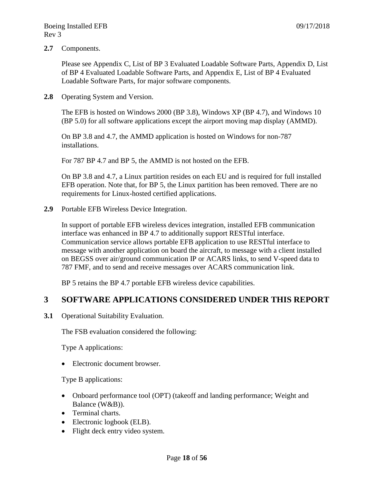**2.7** Components.

Please see Appendix C, List of BP 3 Evaluated Loadable Software Parts, Appendix D, List of BP 4 Evaluated Loadable Software Parts, and Appendix E, List of BP 4 Evaluated Loadable Software Parts, for major software components.

**2.8** Operating System and Version.

The EFB is hosted on Windows 2000 (BP 3.8), Windows XP (BP 4.7), and Windows 10 (BP 5.0) for all software applications except the airport moving map display (AMMD).

On BP 3.8 and 4.7, the AMMD application is hosted on Windows for non-787 installations.

For 787 BP 4.7 and BP 5, the AMMD is not hosted on the EFB.

On BP 3.8 and 4.7, a Linux partition resides on each EU and is required for full installed EFB operation. Note that, for BP 5, the Linux partition has been removed. There are no requirements for Linux-hosted certified applications.

**2.9** Portable EFB Wireless Device Integration.

In support of portable EFB wireless devices integration, installed EFB communication interface was enhanced in BP 4.7 to additionally support RESTful interface. Communication service allows portable EFB application to use RESTful interface to message with another application on board the aircraft, to message with a client installed on BEGSS over air/ground communication IP or ACARS links, to send V-speed data to 787 FMF, and to send and receive messages over ACARS communication link.

BP 5 retains the BP 4.7 portable EFB wireless device capabilities.

#### <span id="page-17-0"></span>**3 SOFTWARE APPLICATIONS CONSIDERED UNDER THIS REPORT**

**3.1** Operational Suitability Evaluation.

The FSB evaluation considered the following:

Type A applications:

• Electronic document browser.

Type B applications:

- Onboard performance tool (OPT) (takeoff and landing performance; Weight and Balance (W&B)).
- Terminal charts.
- Electronic logbook (ELB).
- Flight deck entry video system.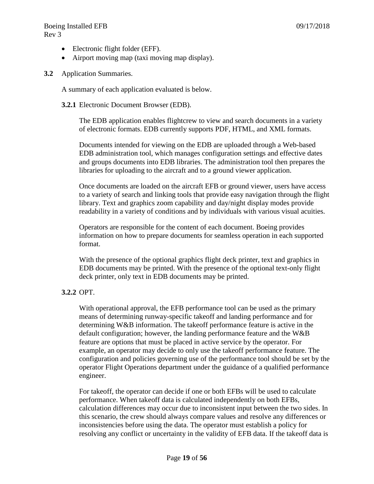- Electronic flight folder (EFF).
- Airport moving map (taxi moving map display).
- **3.2** Application Summaries.

A summary of each application evaluated is below.

#### **3.2.1** Electronic Document Browser (EDB).

The EDB application enables flightcrew to view and search documents in a variety of electronic formats. EDB currently supports PDF, HTML, and XML formats.

Documents intended for viewing on the EDB are uploaded through a Web-based EDB administration tool, which manages configuration settings and effective dates and groups documents into EDB libraries. The administration tool then prepares the libraries for uploading to the aircraft and to a ground viewer application.

Once documents are loaded on the aircraft EFB or ground viewer, users have access to a variety of search and linking tools that provide easy navigation through the flight library. Text and graphics zoom capability and day/night display modes provide readability in a variety of conditions and by individuals with various visual acuities.

Operators are responsible for the content of each document. Boeing provides information on how to prepare documents for seamless operation in each supported format.

With the presence of the optional graphics flight deck printer, text and graphics in EDB documents may be printed. With the presence of the optional text-only flight deck printer, only text in EDB documents may be printed.

#### **3.2.2** OPT.

With operational approval, the EFB performance tool can be used as the primary means of determining runway-specific takeoff and landing performance and for determining W&B information. The takeoff performance feature is active in the default configuration; however, the landing performance feature and the W&B feature are options that must be placed in active service by the operator. For example, an operator may decide to only use the takeoff performance feature. The configuration and policies governing use of the performance tool should be set by the operator Flight Operations department under the guidance of a qualified performance engineer.

For takeoff, the operator can decide if one or both EFBs will be used to calculate performance. When takeoff data is calculated independently on both EFBs, calculation differences may occur due to inconsistent input between the two sides. In this scenario, the crew should always compare values and resolve any differences or inconsistencies before using the data. The operator must establish a policy for resolving any conflict or uncertainty in the validity of EFB data. If the takeoff data is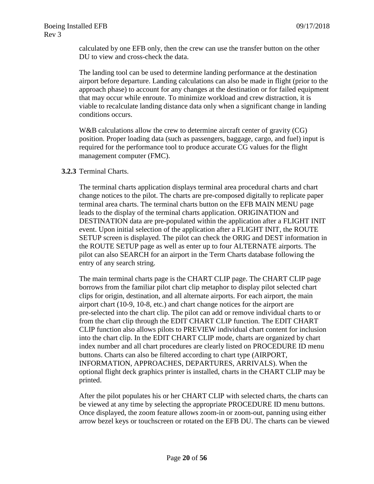calculated by one EFB only, then the crew can use the transfer button on the other DU to view and cross-check the data.

The landing tool can be used to determine landing performance at the destination airport before departure. Landing calculations can also be made in flight (prior to the approach phase) to account for any changes at the destination or for failed equipment that may occur while enroute. To minimize workload and crew distraction, it is viable to recalculate landing distance data only when a significant change in landing conditions occurs.

W&B calculations allow the crew to determine aircraft center of gravity (CG) position. Proper loading data (such as passengers, baggage, cargo, and fuel) input is required for the performance tool to produce accurate CG values for the flight management computer (FMC).

#### **3.2.3** Terminal Charts.

The terminal charts application displays terminal area procedural charts and chart change notices to the pilot. The charts are pre-composed digitally to replicate paper terminal area charts. The terminal charts button on the EFB MAIN MENU page leads to the display of the terminal charts application. ORIGINATION and DESTINATION data are pre-populated within the application after a FLIGHT INIT event. Upon initial selection of the application after a FLIGHT INIT, the ROUTE SETUP screen is displayed. The pilot can check the ORIG and DEST information in the ROUTE SETUP page as well as enter up to four ALTERNATE airports. The pilot can also SEARCH for an airport in the Term Charts database following the entry of any search string.

The main terminal charts page is the CHART CLIP page. The CHART CLIP page borrows from the familiar pilot chart clip metaphor to display pilot selected chart clips for origin, destination, and all alternate airports. For each airport, the main airport chart (10-9, 10-8, etc.) and chart change notices for the airport are pre-selected into the chart clip. The pilot can add or remove individual charts to or from the chart clip through the EDIT CHART CLIP function. The EDIT CHART CLIP function also allows pilots to PREVIEW individual chart content for inclusion into the chart clip. In the EDIT CHART CLIP mode, charts are organized by chart index number and all chart procedures are clearly listed on PROCEDURE ID menu buttons. Charts can also be filtered according to chart type (AIRPORT, INFORMATION, APPROACHES, DEPARTURES, ARRIVALS). When the optional flight deck graphics printer is installed, charts in the CHART CLIP may be printed.

After the pilot populates his or her CHART CLIP with selected charts, the charts can be viewed at any time by selecting the appropriate PROCEDURE ID menu buttons. Once displayed, the zoom feature allows zoom-in or zoom-out, panning using either arrow bezel keys or touchscreen or rotated on the EFB DU. The charts can be viewed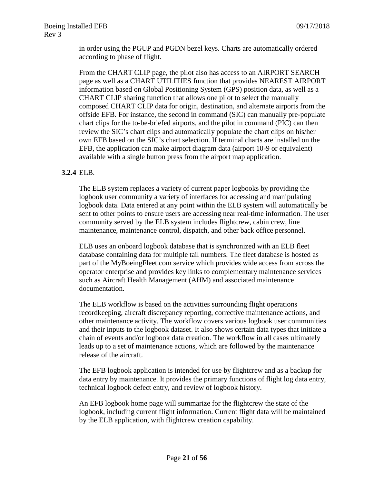in order using the PGUP and PGDN bezel keys. Charts are automatically ordered according to phase of flight.

From the CHART CLIP page, the pilot also has access to an AIRPORT SEARCH page as well as a CHART UTILITIES function that provides NEAREST AIRPORT information based on Global Positioning System (GPS) position data, as well as a CHART CLIP sharing function that allows one pilot to select the manually composed CHART CLIP data for origin, destination, and alternate airports from the offside EFB. For instance, the second in command (SIC) can manually pre-populate chart clips for the to-be-briefed airports, and the pilot in command (PIC) can then review the SIC's chart clips and automatically populate the chart clips on his/her own EFB based on the SIC's chart selection. If terminal charts are installed on the EFB, the application can make airport diagram data (airport 10-9 or equivalent) available with a single button press from the airport map application.

#### **3.2.4** ELB.

The ELB system replaces a variety of current paper logbooks by providing the logbook user community a variety of interfaces for accessing and manipulating logbook data. Data entered at any point within the ELB system will automatically be sent to other points to ensure users are accessing near real-time information. The user community served by the ELB system includes flightcrew, cabin crew, line maintenance, maintenance control, dispatch, and other back office personnel.

ELB uses an onboard logbook database that is synchronized with an ELB fleet database containing data for multiple tail numbers. The fleet database is hosted as part of the MyBoeingFleet.com service which provides wide access from across the operator enterprise and provides key links to complementary maintenance services such as Aircraft Health Management (AHM) and associated maintenance documentation.

The ELB workflow is based on the activities surrounding flight operations recordkeeping, aircraft discrepancy reporting, corrective maintenance actions, and other maintenance activity. The workflow covers various logbook user communities and their inputs to the logbook dataset. It also shows certain data types that initiate a chain of events and/or logbook data creation. The workflow in all cases ultimately leads up to a set of maintenance actions, which are followed by the maintenance release of the aircraft.

The EFB logbook application is intended for use by flightcrew and as a backup for data entry by maintenance. It provides the primary functions of flight log data entry, technical logbook defect entry, and review of logbook history.

An EFB logbook home page will summarize for the flightcrew the state of the logbook, including current flight information. Current flight data will be maintained by the ELB application, with flightcrew creation capability.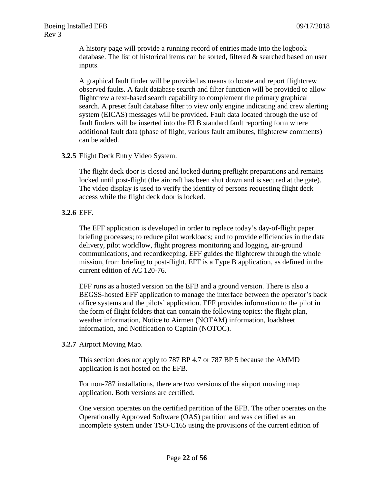A history page will provide a running record of entries made into the logbook database. The list of historical items can be sorted, filtered & searched based on user inputs.

A graphical fault finder will be provided as means to locate and report flightcrew observed faults. A fault database search and filter function will be provided to allow flightcrew a text-based search capability to complement the primary graphical search. A preset fault database filter to view only engine indicating and crew alerting system (EICAS) messages will be provided. Fault data located through the use of fault finders will be inserted into the ELB standard fault reporting form where additional fault data (phase of flight, various fault attributes, flightcrew comments) can be added.

#### **3.2.5** Flight Deck Entry Video System.

The flight deck door is closed and locked during preflight preparations and remains locked until post-flight (the aircraft has been shut down and is secured at the gate). The video display is used to verify the identity of persons requesting flight deck access while the flight deck door is locked.

#### **3.2.6** EFF.

The EFF application is developed in order to replace today's day-of-flight paper briefing processes; to reduce pilot workloads; and to provide efficiencies in the data delivery, pilot workflow, flight progress monitoring and logging, air-ground communications, and recordkeeping. EFF guides the flightcrew through the whole mission, from briefing to post-flight. EFF is a Type B application, as defined in the current edition of AC 120-76.

EFF runs as a hosted version on the EFB and a ground version. There is also a BEGSS-hosted EFF application to manage the interface between the operator's back office systems and the pilots' application. EFF provides information to the pilot in the form of flight folders that can contain the following topics: the flight plan, weather information, Notice to Airmen (NOTAM) information, loadsheet information, and Notification to Captain (NOTOC).

#### **3.2.7** Airport Moving Map.

This section does not apply to 787 BP 4.7 or 787 BP 5 because the AMMD application is not hosted on the EFB.

For non-787 installations, there are two versions of the airport moving map application. Both versions are certified.

One version operates on the certified partition of the EFB. The other operates on the Operationally Approved Software (OAS) partition and was certified as an incomplete system under TSO-C165 using the provisions of the current edition of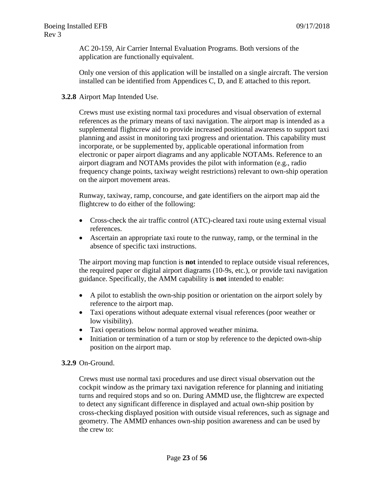AC 20-159, Air Carrier Internal Evaluation Programs. Both versions of the application are functionally equivalent.

Only one version of this application will be installed on a single aircraft. The version installed can be identified from Appendices C, D, and E attached to this report.

#### **3.2.8** Airport Map Intended Use.

Crews must use existing normal taxi procedures and visual observation of external references as the primary means of taxi navigation. The airport map is intended as a supplemental flightcrew aid to provide increased positional awareness to support taxi planning and assist in monitoring taxi progress and orientation. This capability must incorporate, or be supplemented by, applicable operational information from electronic or paper airport diagrams and any applicable NOTAMs. Reference to an airport diagram and NOTAMs provides the pilot with information (e.g., radio frequency change points, taxiway weight restrictions) relevant to own-ship operation on the airport movement areas.

Runway, taxiway, ramp, concourse, and gate identifiers on the airport map aid the flightcrew to do either of the following:

- Cross-check the air traffic control (ATC)-cleared taxi route using external visual references.
- Ascertain an appropriate taxi route to the runway, ramp, or the terminal in the absence of specific taxi instructions.

The airport moving map function is **not** intended to replace outside visual references, the required paper or digital airport diagrams (10-9s, etc.), or provide taxi navigation guidance. Specifically, the AMM capability is **not** intended to enable:

- A pilot to establish the own-ship position or orientation on the airport solely by reference to the airport map.
- Taxi operations without adequate external visual references (poor weather or low visibility).
- Taxi operations below normal approved weather minima.
- Initiation or termination of a turn or stop by reference to the depicted own-ship position on the airport map.

#### **3.2.9** On-Ground.

Crews must use normal taxi procedures and use direct visual observation out the cockpit window as the primary taxi navigation reference for planning and initiating turns and required stops and so on. During AMMD use, the flightcrew are expected to detect any significant difference in displayed and actual own-ship position by cross-checking displayed position with outside visual references, such as signage and geometry. The AMMD enhances own-ship position awareness and can be used by the crew to: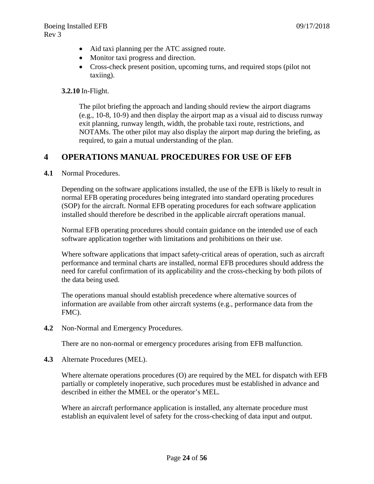- Aid taxi planning per the ATC assigned route.
- Monitor taxi progress and direction.
- Cross-check present position, upcoming turns, and required stops (pilot not taxiing).

**3.2.10** In-Flight.

The pilot briefing the approach and landing should review the airport diagrams (e.g., 10-8, 10-9) and then display the airport map as a visual aid to discuss runway exit planning, runway length, width, the probable taxi route, restrictions, and NOTAMs. The other pilot may also display the airport map during the briefing, as required, to gain a mutual understanding of the plan.

## <span id="page-23-0"></span>**4 OPERATIONS MANUAL PROCEDURES FOR USE OF EFB**

**4.1** Normal Procedures.

Depending on the software applications installed, the use of the EFB is likely to result in normal EFB operating procedures being integrated into standard operating procedures (SOP) for the aircraft. Normal EFB operating procedures for each software application installed should therefore be described in the applicable aircraft operations manual.

Normal EFB operating procedures should contain guidance on the intended use of each software application together with limitations and prohibitions on their use.

Where software applications that impact safety-critical areas of operation, such as aircraft performance and terminal charts are installed, normal EFB procedures should address the need for careful confirmation of its applicability and the cross-checking by both pilots of the data being used.

The operations manual should establish precedence where alternative sources of information are available from other aircraft systems (e.g., performance data from the FMC).

**4.2** Non-Normal and Emergency Procedures.

There are no non-normal or emergency procedures arising from EFB malfunction.

**4.3** Alternate Procedures (MEL).

Where alternate operations procedures (O) are required by the MEL for dispatch with EFB partially or completely inoperative, such procedures must be established in advance and described in either the MMEL or the operator's MEL.

Where an aircraft performance application is installed, any alternate procedure must establish an equivalent level of safety for the cross-checking of data input and output.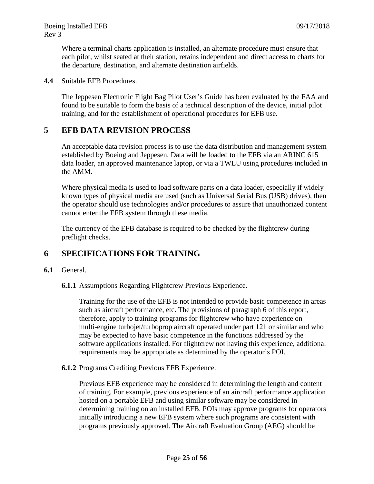Where a terminal charts application is installed, an alternate procedure must ensure that each pilot, whilst seated at their station, retains independent and direct access to charts for the departure, destination, and alternate destination airfields.

**4.4** Suitable EFB Procedures.

The Jeppesen Electronic Flight Bag Pilot User's Guide has been evaluated by the FAA and found to be suitable to form the basis of a technical description of the device, initial pilot training, and for the establishment of operational procedures for EFB use.

#### <span id="page-24-0"></span>**5 EFB DATA REVISION PROCESS**

An acceptable data revision process is to use the data distribution and management system established by Boeing and Jeppesen. Data will be loaded to the EFB via an ARINC 615 data loader, an approved maintenance laptop, or via a TWLU using procedures included in the AMM.

Where physical media is used to load software parts on a data loader, especially if widely known types of physical media are used (such as Universal Serial Bus (USB) drives), then the operator should use technologies and/or procedures to assure that unauthorized content cannot enter the EFB system through these media.

The currency of the EFB database is required to be checked by the flightcrew during preflight checks.

#### <span id="page-24-1"></span>**6 SPECIFICATIONS FOR TRAINING**

#### **6.1** General.

**6.1.1** Assumptions Regarding Flightcrew Previous Experience.

Training for the use of the EFB is not intended to provide basic competence in areas such as aircraft performance, etc. The provisions of paragraph 6 of this report, therefore, apply to training programs for flightcrew who have experience on multi-engine turbojet/turboprop aircraft operated under part 121 or similar and who may be expected to have basic competence in the functions addressed by the software applications installed. For flightcrew not having this experience, additional requirements may be appropriate as determined by the operator's POI.

**6.1.2** Programs Crediting Previous EFB Experience.

Previous EFB experience may be considered in determining the length and content of training. For example, previous experience of an aircraft performance application hosted on a portable EFB and using similar software may be considered in determining training on an installed EFB. POIs may approve programs for operators initially introducing a new EFB system where such programs are consistent with programs previously approved. The Aircraft Evaluation Group (AEG) should be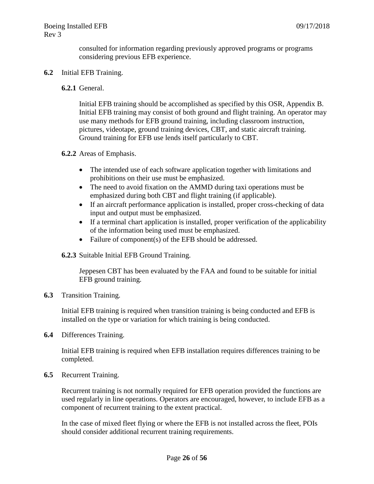consulted for information regarding previously approved programs or programs considering previous EFB experience.

#### **6.2** Initial EFB Training.

#### **6.2.1** General.

Initial EFB training should be accomplished as specified by this OSR, Appendix B. Initial EFB training may consist of both ground and flight training. An operator may use many methods for EFB ground training, including classroom instruction, pictures, videotape, ground training devices, CBT, and static aircraft training. Ground training for EFB use lends itself particularly to CBT.

#### **6.2.2** Areas of Emphasis.

- The intended use of each software application together with limitations and prohibitions on their use must be emphasized.
- The need to avoid fixation on the AMMD during taxi operations must be emphasized during both CBT and flight training (if applicable).
- If an aircraft performance application is installed, proper cross-checking of data input and output must be emphasized.
- If a terminal chart application is installed, proper verification of the applicability of the information being used must be emphasized.
- Failure of component(s) of the EFB should be addressed.

#### **6.2.3** Suitable Initial EFB Ground Training.

Jeppesen CBT has been evaluated by the FAA and found to be suitable for initial EFB ground training.

**6.3** Transition Training.

Initial EFB training is required when transition training is being conducted and EFB is installed on the type or variation for which training is being conducted.

**6.4** Differences Training.

Initial EFB training is required when EFB installation requires differences training to be completed.

**6.5** Recurrent Training.

Recurrent training is not normally required for EFB operation provided the functions are used regularly in line operations. Operators are encouraged, however, to include EFB as a component of recurrent training to the extent practical.

In the case of mixed fleet flying or where the EFB is not installed across the fleet, POIs should consider additional recurrent training requirements.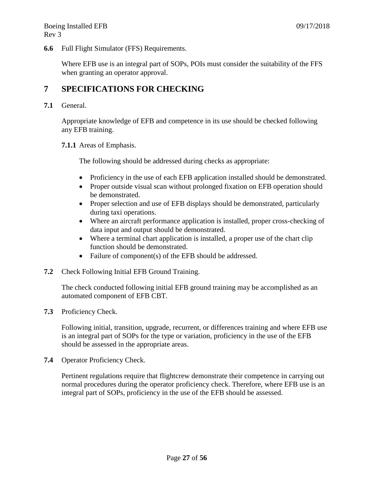**6.6** Full Flight Simulator (FFS) Requirements.

Where EFB use is an integral part of SOPs, POIs must consider the suitability of the FFS when granting an operator approval.

## <span id="page-26-0"></span>**7 SPECIFICATIONS FOR CHECKING**

**7.1** General.

Appropriate knowledge of EFB and competence in its use should be checked following any EFB training.

#### **7.1.1** Areas of Emphasis.

The following should be addressed during checks as appropriate:

- Proficiency in the use of each EFB application installed should be demonstrated.
- Proper outside visual scan without prolonged fixation on EFB operation should be demonstrated.
- Proper selection and use of EFB displays should be demonstrated, particularly during taxi operations.
- Where an aircraft performance application is installed, proper cross-checking of data input and output should be demonstrated.
- Where a terminal chart application is installed, a proper use of the chart clip function should be demonstrated.
- Failure of component(s) of the EFB should be addressed.
- **7.2** Check Following Initial EFB Ground Training.

The check conducted following initial EFB ground training may be accomplished as an automated component of EFB CBT.

**7.3** Proficiency Check.

Following initial, transition, upgrade, recurrent, or differences training and where EFB use is an integral part of SOPs for the type or variation, proficiency in the use of the EFB should be assessed in the appropriate areas.

**7.4** Operator Proficiency Check.

Pertinent regulations require that flightcrew demonstrate their competence in carrying out normal procedures during the operator proficiency check. Therefore, where EFB use is an integral part of SOPs, proficiency in the use of the EFB should be assessed.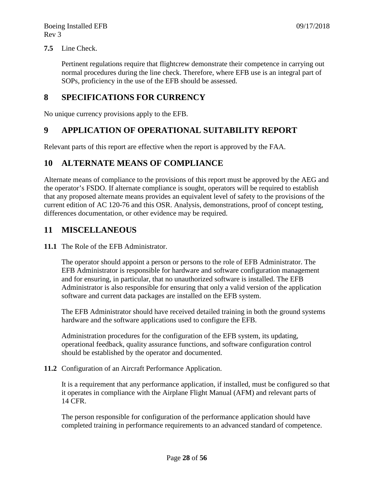#### **7.5** Line Check.

Pertinent regulations require that flightcrew demonstrate their competence in carrying out normal procedures during the line check. Therefore, where EFB use is an integral part of SOPs, proficiency in the use of the EFB should be assessed.

#### <span id="page-27-0"></span>**8 SPECIFICATIONS FOR CURRENCY**

No unique currency provisions apply to the EFB.

#### <span id="page-27-1"></span>**9 APPLICATION OF OPERATIONAL SUITABILITY REPORT**

Relevant parts of this report are effective when the report is approved by the FAA.

#### <span id="page-27-2"></span>**10 ALTERNATE MEANS OF COMPLIANCE**

Alternate means of compliance to the provisions of this report must be approved by the AEG and the operator's FSDO. If alternate compliance is sought, operators will be required to establish that any proposed alternate means provides an equivalent level of safety to the provisions of the current edition of AC 120-76 and this OSR. Analysis, demonstrations, proof of concept testing, differences documentation, or other evidence may be required.

#### <span id="page-27-3"></span>**11 MISCELLANEOUS**

#### **11.1** The Role of the EFB Administrator.

The operator should appoint a person or persons to the role of EFB Administrator. The EFB Administrator is responsible for hardware and software configuration management and for ensuring, in particular, that no unauthorized software is installed. The EFB Administrator is also responsible for ensuring that only a valid version of the application software and current data packages are installed on the EFB system.

The EFB Administrator should have received detailed training in both the ground systems hardware and the software applications used to configure the EFB.

Administration procedures for the configuration of the EFB system, its updating, operational feedback, quality assurance functions, and software configuration control should be established by the operator and documented.

**11.2** Configuration of an Aircraft Performance Application.

It is a requirement that any performance application, if installed, must be configured so that it operates in compliance with the Airplane Flight Manual (AFM) and relevant parts of 14 CFR.

The person responsible for configuration of the performance application should have completed training in performance requirements to an advanced standard of competence.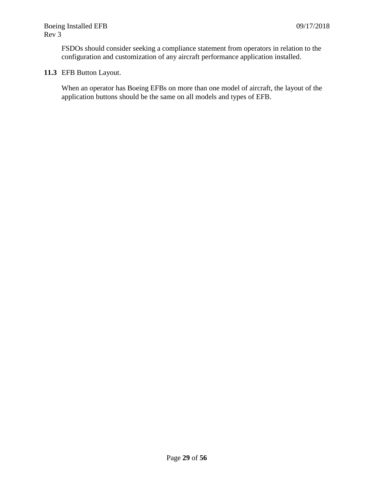FSDOs should consider seeking a compliance statement from operators in relation to the configuration and customization of any aircraft performance application installed.

#### **11.3** EFB Button Layout.

When an operator has Boeing EFBs on more than one model of aircraft, the layout of the application buttons should be the same on all models and types of EFB.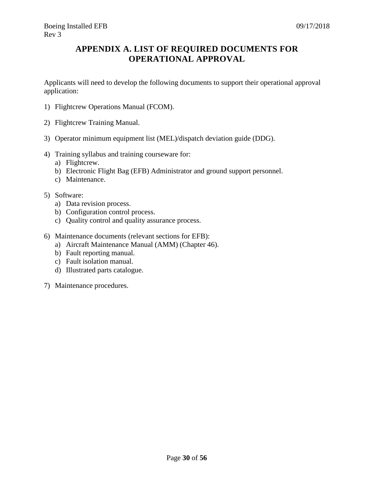## <span id="page-29-0"></span>**APPENDIX A. LIST OF REQUIRED DOCUMENTS FOR OPERATIONAL APPROVAL**

Applicants will need to develop the following documents to support their operational approval application:

- 1) Flightcrew Operations Manual (FCOM).
- 2) Flightcrew Training Manual.
- 3) Operator minimum equipment list (MEL)/dispatch deviation guide (DDG).
- 4) Training syllabus and training courseware for:
	- a) Flightcrew.
	- b) Electronic Flight Bag (EFB) Administrator and ground support personnel.
	- c) Maintenance.
- 5) Software:
	- a) Data revision process.
	- b) Configuration control process.
	- c) Quality control and quality assurance process.
- 6) Maintenance documents (relevant sections for EFB):
	- a) Aircraft Maintenance Manual (AMM) (Chapter 46).
	- b) Fault reporting manual.
	- c) Fault isolation manual.
	- d) Illustrated parts catalogue.
- 7) Maintenance procedures.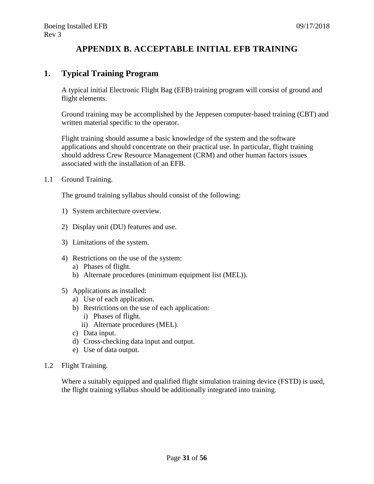## **APPENDIX B. ACCEPTABLE INITIAL EFB TRAINING**

#### <span id="page-30-0"></span>**1. Typical Training Program**

A typical initial Electronic Flight Bag (EFB) training program will consist of ground and flight elements.

Ground training may be accomplished by the Jeppesen computer-based training (CBT) and written material specific to the operator.

Flight training should assume a basic knowledge of the system and the software applications and should concentrate on their practical use. In particular, flight training should address Crew Resource Management (CRM) and other human factors issues associated with the installation of an EFB.

1.1 Ground Training.

The ground training syllabus should consist of the following:

- 1) System architecture overview.
- 2) Display unit (DU) features and use.
- 3) Limitations of the system.
- 4) Restrictions on the use of the system:
	- a) Phases of flight.
	- b) Alternate procedures (minimum equipment list (MEL)).
- 5) Applications as installed:
	- a) Use of each application.
	- b) Restrictions on the use of each application:
		- i) Phases of flight.
		- ii) Alternate procedures (MEL).
	- c) Data input.
	- d) Cross-checking data input and output.
	- e) Use of data output.
- 1.2 Flight Training.

Where a suitably equipped and qualified flight simulation training device (FSTD) is used, the flight training syllabus should be additionally integrated into training.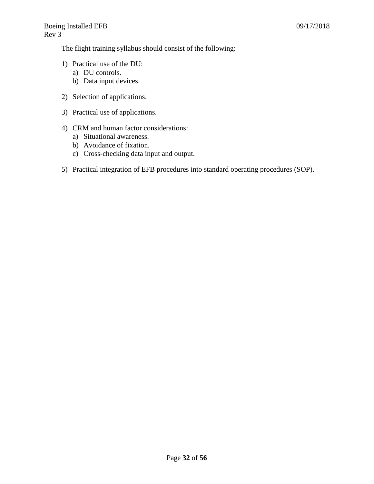The flight training syllabus should consist of the following:

- 1) Practical use of the DU:
	- a) DU controls.
	- b) Data input devices.
- 2) Selection of applications.
- 3) Practical use of applications.
- 4) CRM and human factor considerations:
	- a) Situational awareness.
	- b) Avoidance of fixation.
	- c) Cross-checking data input and output.
- 5) Practical integration of EFB procedures into standard operating procedures (SOP).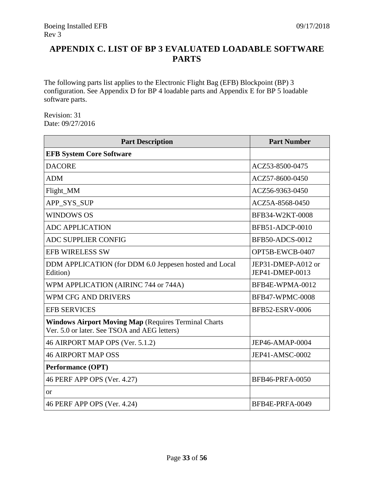## <span id="page-32-0"></span>**APPENDIX C. LIST OF BP 3 EVALUATED LOADABLE SOFTWARE PARTS**

The following parts list applies to the Electronic Flight Bag (EFB) Blockpoint (BP) 3 configuration. See Appendix D for BP 4 loadable parts and Appendix E for BP 5 loadable software parts.

Revision: 31 Date: 09/27/2016

| <b>Part Description</b>                                                                                     | <b>Part Number</b>                    |
|-------------------------------------------------------------------------------------------------------------|---------------------------------------|
| <b>EFB System Core Software</b>                                                                             |                                       |
| <b>DACORE</b>                                                                                               | ACZ53-8500-0475                       |
| <b>ADM</b>                                                                                                  | ACZ57-8600-0450                       |
| Flight_MM                                                                                                   | ACZ56-9363-0450                       |
| APP SYS SUP                                                                                                 | ACZ5A-8568-0450                       |
| <b>WINDOWS OS</b>                                                                                           | BFB34-W2KT-0008                       |
| <b>ADC APPLICATION</b>                                                                                      | BFB51-ADCP-0010                       |
| <b>ADC SUPPLIER CONFIG</b>                                                                                  | <b>BFB50-ADCS-0012</b>                |
| <b>EFB WIRELESS SW</b>                                                                                      | OPT5B-EWCB-0407                       |
| DDM APPLICATION (for DDM 6.0 Jeppesen hosted and Local<br>Edition)                                          | JEP31-DMEP-A012 or<br>JEP41-DMEP-0013 |
| WPM APPLICATION (AIRINC 744 or 744A)                                                                        | BFB4E-WPMA-0012                       |
| WPM CFG AND DRIVERS                                                                                         | <b>BFB47-WPMC-0008</b>                |
| <b>EFB SERVICES</b>                                                                                         | BFB52-ESRV-0006                       |
| <b>Windows Airport Moving Map (Requires Terminal Charts</b><br>Ver. 5.0 or later. See TSOA and AEG letters) |                                       |
| 46 AIRPORT MAP OPS (Ver. 5.1.2)                                                                             | JEP46-AMAP-0004                       |
| <b>46 AIRPORT MAP OSS</b>                                                                                   | JEP41-AMSC-0002                       |
| <b>Performance (OPT)</b>                                                                                    |                                       |
| 46 PERF APP OPS (Ver. 4.27)                                                                                 | <b>BFB46-PRFA-0050</b>                |
| <b>or</b>                                                                                                   |                                       |
| 46 PERF APP OPS (Ver. 4.24)                                                                                 | BFB4E-PRFA-0049                       |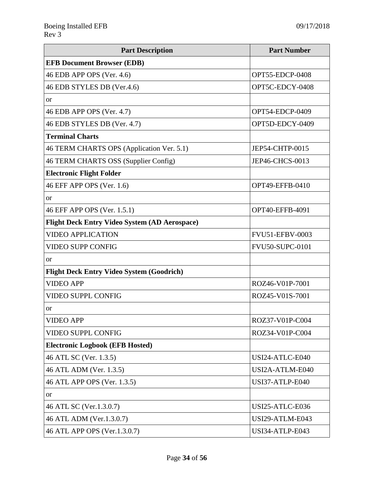| <b>Part Description</b>                              | <b>Part Number</b>     |
|------------------------------------------------------|------------------------|
| <b>EFB Document Browser (EDB)</b>                    |                        |
| 46 EDB APP OPS (Ver. 4.6)                            | OPT55-EDCP-0408        |
| 46 EDB STYLES DB (Ver.4.6)                           | OPT5C-EDCY-0408        |
| <b>or</b>                                            |                        |
| 46 EDB APP OPS (Ver. 4.7)                            | OPT54-EDCP-0409        |
| 46 EDB STYLES DB (Ver. 4.7)                          | OPT5D-EDCY-0409        |
| <b>Terminal Charts</b>                               |                        |
| 46 TERM CHARTS OPS (Application Ver. 5.1)            | JEP54-CHTP-0015        |
| 46 TERM CHARTS OSS (Supplier Config)                 | JEP46-CHCS-0013        |
| <b>Electronic Flight Folder</b>                      |                        |
| 46 EFF APP OPS (Ver. 1.6)                            | OPT49-EFFB-0410        |
| <b>or</b>                                            |                        |
| 46 EFF APP OPS (Ver. 1.5.1)                          | OPT40-EFFB-4091        |
| <b>Flight Deck Entry Video System (AD Aerospace)</b> |                        |
| <b>VIDEO APPLICATION</b>                             | <b>FVU51-EFBV-0003</b> |
| VIDEO SUPP CONFIG                                    | <b>FVU50-SUPC-0101</b> |
| <b>or</b>                                            |                        |
| <b>Flight Deck Entry Video System (Goodrich)</b>     |                        |
| <b>VIDEO APP</b>                                     | ROZ46-V01P-7001        |
| <b>VIDEO SUPPL CONFIG</b>                            | ROZ45-V01S-7001        |
| <b>or</b>                                            |                        |
| <b>VIDEO APP</b>                                     | ROZ37-V01P-C004        |
| <b>VIDEO SUPPL CONFIG</b>                            | ROZ34-V01P-C004        |
| <b>Electronic Logbook (EFB Hosted)</b>               |                        |
| 46 ATL SC (Ver. 1.3.5)<br>USI24-ATLC-E040            |                        |
| 46 ATL ADM (Ver. 1.3.5)                              | USI2A-ATLM-E040        |
| 46 ATL APP OPS (Ver. 1.3.5)                          | USI37-ATLP-E040        |
| <b>or</b>                                            |                        |
| 46 ATL SC (Ver.1.3.0.7)                              | USI25-ATLC-E036        |
| 46 ATL ADM (Ver.1.3.0.7)                             | USI29-ATLM-E043        |
| 46 ATL APP OPS (Ver.1.3.0.7)                         | USI34-ATLP-E043        |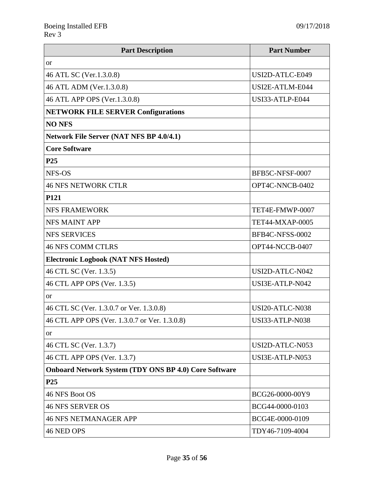| <b>Part Description</b>                                      | <b>Part Number</b>     |
|--------------------------------------------------------------|------------------------|
| <b>or</b>                                                    |                        |
| 46 ATL SC (Ver.1.3.0.8)                                      | USI2D-ATLC-E049        |
| 46 ATL ADM (Ver.1.3.0.8)                                     | USI2E-ATLM-E044        |
| 46 ATL APP OPS (Ver.1.3.0.8)                                 | USI33-ATLP-E044        |
| <b>NETWORK FILE SERVER Configurations</b>                    |                        |
| <b>NO NFS</b>                                                |                        |
| <b>Network File Server (NAT NFS BP 4.0/4.1)</b>              |                        |
| <b>Core Software</b>                                         |                        |
| P <sub>25</sub>                                              |                        |
| NFS-OS                                                       | BFB5C-NFSF-0007        |
| <b>46 NFS NETWORK CTLR</b>                                   | OPT4C-NNCB-0402        |
| P121                                                         |                        |
| <b>NFS FRAMEWORK</b>                                         | TET4E-FMWP-0007        |
| <b>NFS MAINT APP</b>                                         | <b>TET44-MXAP-0005</b> |
| <b>NFS SERVICES</b>                                          | BFB4C-NFSS-0002        |
| <b>46 NFS COMM CTLRS</b>                                     | OPT44-NCCB-0407        |
| <b>Electronic Logbook (NAT NFS Hosted)</b>                   |                        |
| 46 CTL SC (Ver. 1.3.5)                                       | USI2D-ATLC-N042        |
| 46 CTL APP OPS (Ver. 1.3.5)                                  | USI3E-ATLP-N042        |
| <b>or</b>                                                    |                        |
| 46 CTL SC (Ver. 1.3.0.7 or Ver. 1.3.0.8)                     | USI20-ATLC-N038        |
| 46 CTL APP OPS (Ver. 1.3.0.7 or Ver. 1.3.0.8)                | <b>USI33-ATLP-N038</b> |
| <b>or</b>                                                    |                        |
| 46 CTL SC (Ver. 1.3.7)                                       | USI2D-ATLC-N053        |
| 46 CTL APP OPS (Ver. 1.3.7)                                  | USI3E-ATLP-N053        |
| <b>Onboard Network System (TDY ONS BP 4.0) Core Software</b> |                        |
| P <sub>25</sub>                                              |                        |
| 46 NFS Boot OS                                               | BCG26-0000-00Y9        |
| <b>46 NFS SERVER OS</b>                                      | BCG44-0000-0103        |
| <b>46 NFS NETMANAGER APP</b>                                 | BCG4E-0000-0109        |
| 46 NED OPS                                                   | TDY46-7109-4004        |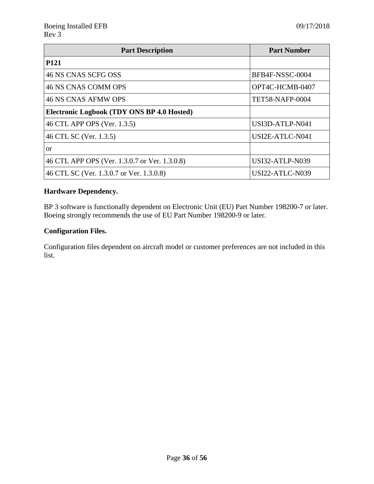| <b>Part Description</b>                       | <b>Part Number</b>     |
|-----------------------------------------------|------------------------|
| <b>P121</b>                                   |                        |
| 46 NS CNAS SCFG OSS                           | BFB4F-NSSC-0004        |
| 46 NS CNAS COMM OPS                           | OPT4C-HCMB-0407        |
| 46 NS CNAS AFMW OPS                           | <b>TET58-NAFP-0004</b> |
| Electronic Logbook (TDY ONS BP 4.0 Hosted)    |                        |
| 46 CTL APP OPS (Ver. 1.3.5)                   | USI3D-ATLP-N041        |
| 46 CTL SC (Ver. 1.3.5)                        | USI2E-ATLC-N041        |
| <b>or</b>                                     |                        |
| 46 CTL APP OPS (Ver. 1.3.0.7 or Ver. 1.3.0.8) | <b>USI32-ATLP-N039</b> |
| 46 CTL SC (Ver. 1.3.0.7 or Ver. 1.3.0.8)      | USI22-ATLC-N039        |

#### **Hardware Dependency.**

BP 3 software is functionally dependent on Electronic Unit (EU) Part Number 198200-7 or later. Boeing strongly recommends the use of EU Part Number 198200-9 or later.

#### **Configuration Files.**

Configuration files dependent on aircraft model or customer preferences are not included in this list.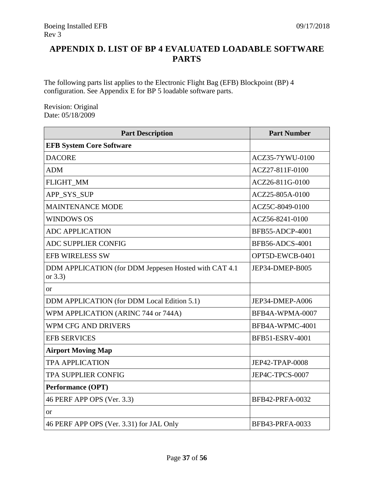## <span id="page-36-0"></span>**APPENDIX D. LIST OF BP 4 EVALUATED LOADABLE SOFTWARE PARTS**

The following parts list applies to the Electronic Flight Bag (EFB) Blockpoint (BP) 4 configuration. See Appendix E for BP 5 loadable software parts.

Revision: Original Date: 05/18/2009

| <b>Part Description</b>                                              | <b>Part Number</b>     |
|----------------------------------------------------------------------|------------------------|
| <b>EFB System Core Software</b>                                      |                        |
| <b>DACORE</b>                                                        | ACZ35-7YWU-0100        |
| <b>ADM</b>                                                           | ACZ27-811F-0100        |
| FLIGHT_MM                                                            | ACZ26-811G-0100        |
| APP_SYS_SUP                                                          | ACZ25-805A-0100        |
| <b>MAINTENANCE MODE</b>                                              | ACZ5C-8049-0100        |
| <b>WINDOWS OS</b>                                                    | ACZ56-8241-0100        |
| <b>ADC APPLICATION</b>                                               | <b>BFB55-ADCP-4001</b> |
| <b>ADC SUPPLIER CONFIG</b>                                           | <b>BFB56-ADCS-4001</b> |
| <b>EFB WIRELESS SW</b>                                               | OPT5D-EWCB-0401        |
| DDM APPLICATION (for DDM Jeppesen Hosted with CAT 4.1)<br>or $3.3$ ) | JEP34-DMEP-B005        |
| <b>or</b>                                                            |                        |
| DDM APPLICATION (for DDM Local Edition 5.1)                          | JEP34-DMEP-A006        |
| WPM APPLICATION (ARINC 744 or 744A)                                  | BFB4A-WPMA-0007        |
| <b>WPM CFG AND DRIVERS</b>                                           | BFB4A-WPMC-4001        |
| <b>EFB SERVICES</b>                                                  | BFB51-ESRV-4001        |
| <b>Airport Moving Map</b>                                            |                        |
| <b>TPA APPLICATION</b>                                               | JEP42-TPAP-0008        |
| <b>TPA SUPPLIER CONFIG</b>                                           | JEP4C-TPCS-0007        |
| <b>Performance (OPT)</b>                                             |                        |
| 46 PERF APP OPS (Ver. 3.3)                                           | <b>BFB42-PRFA-0032</b> |
| <sub>or</sub>                                                        |                        |
| 46 PERF APP OPS (Ver. 3.31) for JAL Only                             | BFB43-PRFA-0033        |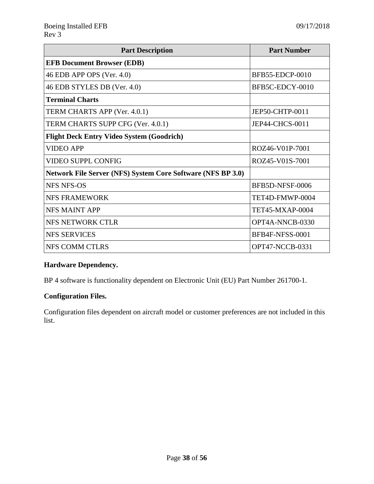| <b>Part Description</b>                                     | <b>Part Number</b>     |
|-------------------------------------------------------------|------------------------|
| <b>EFB Document Browser (EDB)</b>                           |                        |
| 46 EDB APP OPS (Ver. 4.0)                                   | <b>BFB55-EDCP-0010</b> |
| 46 EDB STYLES DB (Ver. 4.0)                                 | BFB5C-EDCY-0010        |
| <b>Terminal Charts</b>                                      |                        |
| TERM CHARTS APP (Ver. 4.0.1)                                | JEP50-CHTP-0011        |
| TERM CHARTS SUPP CFG (Ver. 4.0.1)                           | <b>JEP44-CHCS-0011</b> |
| <b>Flight Deck Entry Video System (Goodrich)</b>            |                        |
| <b>VIDEO APP</b>                                            | ROZ46-V01P-7001        |
| <b>VIDEO SUPPL CONFIG</b>                                   | ROZ45-V01S-7001        |
| Network File Server (NFS) System Core Software (NFS BP 3.0) |                        |
| <b>NFS NFS-OS</b>                                           | BFB5D-NFSF-0006        |
| <b>NFS FRAMEWORK</b>                                        | TET4D-FMWP-0004        |
| NFS MAINT APP                                               | TET45-MXAP-0004        |
| NFS NETWORK CTLR                                            | OPT4A-NNCB-0330        |
| <b>NFS SERVICES</b>                                         | BFB4F-NFSS-0001        |
| NFS COMM CTLRS                                              | OPT47-NCCB-0331        |

#### **Hardware Dependency.**

BP 4 software is functionality dependent on Electronic Unit (EU) Part Number 261700-1.

#### **Configuration Files.**

Configuration files dependent on aircraft model or customer preferences are not included in this list.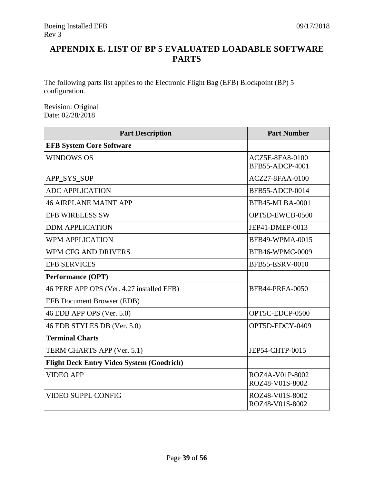## <span id="page-38-0"></span>**APPENDIX E. LIST OF BP 5 EVALUATED LOADABLE SOFTWARE PARTS**

The following parts list applies to the Electronic Flight Bag (EFB) Blockpoint (BP) 5 configuration.

Revision: Original Date: 02/28/2018

| <b>Part Description</b>                          | <b>Part Number</b>                               |
|--------------------------------------------------|--------------------------------------------------|
| <b>EFB System Core Software</b>                  |                                                  |
| WINDOWS OS                                       | <b>ACZ5E-8FA8-0100</b><br><b>BFB55-ADCP-4001</b> |
| APP_SYS_SUP                                      | <b>ACZ27-8FAA-0100</b>                           |
| <b>ADC APPLICATION</b>                           | BFB55-ADCP-0014                                  |
| <b>46 AIRPLANE MAINT APP</b>                     | <b>BFB45-MLBA-0001</b>                           |
| <b>EFB WIRELESS SW</b>                           | OPT5D-EWCB-0500                                  |
| <b>DDM APPLICATION</b>                           | JEP41-DMEP-0013                                  |
| <b>WPM APPLICATION</b>                           | <b>BFB49-WPMA-0015</b>                           |
| <b>WPM CFG AND DRIVERS</b>                       | <b>BFB46-WPMC-0009</b>                           |
| <b>EFB SERVICES</b>                              | <b>BFB55-ESRV-0010</b>                           |
| <b>Performance (OPT)</b>                         |                                                  |
| 46 PERF APP OPS (Ver. 4.27 installed EFB)        | <b>BFB44-PRFA-0050</b>                           |
| <b>EFB Document Browser (EDB)</b>                |                                                  |
| 46 EDB APP OPS (Ver. 5.0)                        | OPT5C-EDCP-0500                                  |
| 46 EDB STYLES DB (Ver. 5.0)                      | OPT5D-EDCY-0409                                  |
| <b>Terminal Charts</b>                           |                                                  |
| TERM CHARTS APP (Ver. 5.1)                       | JEP54-CHTP-0015                                  |
| <b>Flight Deck Entry Video System (Goodrich)</b> |                                                  |
| <b>VIDEO APP</b>                                 | ROZ4A-V01P-8002<br>ROZ48-V01S-8002               |
| <b>VIDEO SUPPL CONFIG</b>                        | ROZ48-V01S-8002<br>ROZ48-V01S-8002               |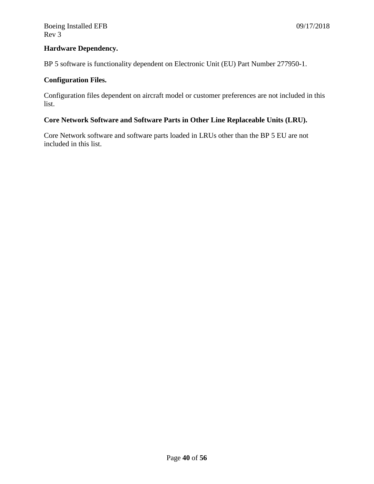#### **Hardware Dependency.**

BP 5 software is functionality dependent on Electronic Unit (EU) Part Number 277950-1.

#### **Configuration Files.**

Configuration files dependent on aircraft model or customer preferences are not included in this list.

#### **Core Network Software and Software Parts in Other Line Replaceable Units (LRU).**

Core Network software and software parts loaded in LRUs other than the BP 5 EU are not included in this list.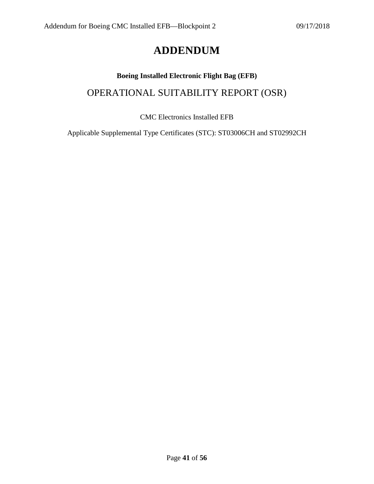## **ADDENDUM**

## <span id="page-40-0"></span>**Boeing Installed Electronic Flight Bag (EFB)** OPERATIONAL SUITABILITY REPORT (OSR)

#### CMC Electronics Installed EFB

Applicable Supplemental Type Certificates (STC): ST03006CH and ST02992CH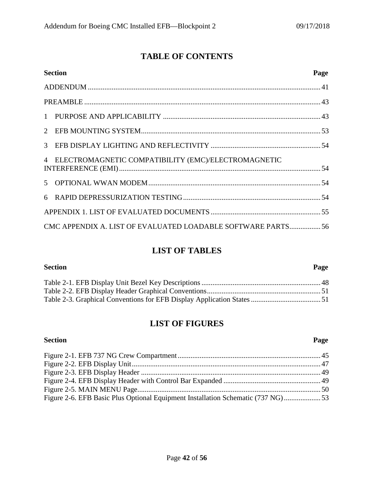## **TABLE OF CONTENTS**

| <b>Section</b>                                              | Page |
|-------------------------------------------------------------|------|
|                                                             |      |
|                                                             |      |
|                                                             |      |
|                                                             |      |
|                                                             |      |
| 4 ELECTROMAGNETIC COMPATIBILITY (EMC)/ELECTROMAGNETIC       |      |
|                                                             |      |
|                                                             |      |
|                                                             |      |
| CMC APPENDIX A. LIST OF EVALUATED LOADABLE SOFTWARE PARTS56 |      |

## **LIST OF TABLES**

| <b>Section</b> | Page |
|----------------|------|
|                |      |
|                |      |
|                |      |

## **LIST OF FIGURES**

<span id="page-41-0"></span>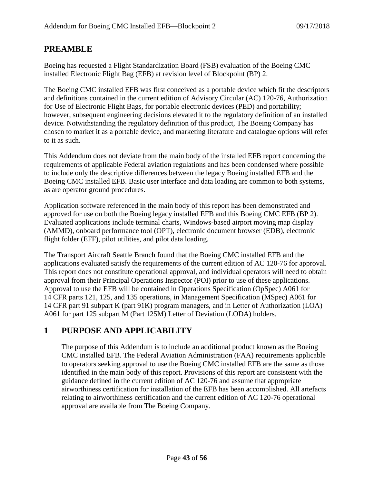### **PREAMBLE**

Boeing has requested a Flight Standardization Board (FSB) evaluation of the Boeing CMC installed Electronic Flight Bag (EFB) at revision level of Blockpoint (BP) 2.

The Boeing CMC installed EFB was first conceived as a portable device which fit the descriptors and definitions contained in the current edition of Advisory Circular (AC) 120-76, Authorization for Use of Electronic Flight Bags, for portable electronic devices (PED) and portability; however, subsequent engineering decisions elevated it to the regulatory definition of an installed device. Notwithstanding the regulatory definition of this product, The Boeing Company has chosen to market it as a portable device, and marketing literature and catalogue options will refer to it as such.

This Addendum does not deviate from the main body of the installed EFB report concerning the requirements of applicable Federal aviation regulations and has been condensed where possible to include only the descriptive differences between the legacy Boeing installed EFB and the Boeing CMC installed EFB. Basic user interface and data loading are common to both systems, as are operator ground procedures.

Application software referenced in the main body of this report has been demonstrated and approved for use on both the Boeing legacy installed EFB and this Boeing CMC EFB (BP 2). Evaluated applications include terminal charts, Windows-based airport moving map display (AMMD), onboard performance tool (OPT), electronic document browser (EDB), electronic flight folder (EFF), pilot utilities, and pilot data loading.

The Transport Aircraft Seattle Branch found that the Boeing CMC installed EFB and the applications evaluated satisfy the requirements of the current edition of AC 120-76 for approval. This report does not constitute operational approval, and individual operators will need to obtain approval from their Principal Operations Inspector (POI) prior to use of these applications. Approval to use the EFB will be contained in Operations Specification (OpSpec) A061 for 14 CFR parts 121, 125, and 135 operations, in Management Specification (MSpec) A061 for 14 CFR part 91 subpart K (part 91K) program managers, and in Letter of Authorization (LOA) A061 for part 125 subpart M (Part 125M) Letter of Deviation (LODA) holders.

## <span id="page-42-0"></span>**1 PURPOSE AND APPLICABILITY**

The purpose of this Addendum is to include an additional product known as the Boeing CMC installed EFB. The Federal Aviation Administration (FAA) requirements applicable to operators seeking approval to use the Boeing CMC installed EFB are the same as those identified in the main body of this report. Provisions of this report are consistent with the guidance defined in the current edition of AC 120-76 and assume that appropriate airworthiness certification for installation of the EFB has been accomplished. All artefacts relating to airworthiness certification and the current edition of AC 120-76 operational approval are available from The Boeing Company.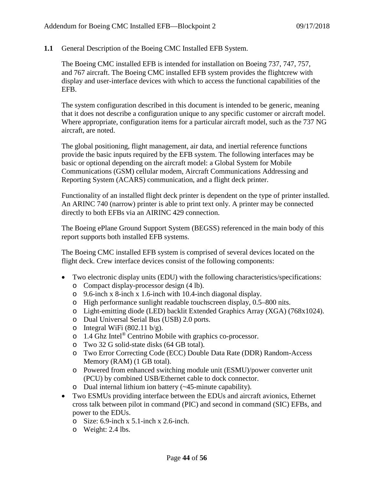**1.1** General Description of the Boeing CMC Installed EFB System.

The Boeing CMC installed EFB is intended for installation on Boeing 737, 747, 757, and 767 aircraft. The Boeing CMC installed EFB system provides the flightcrew with display and user-interface devices with which to access the functional capabilities of the EFB.

The system configuration described in this document is intended to be generic, meaning that it does not describe a configuration unique to any specific customer or aircraft model. Where appropriate, configuration items for a particular aircraft model, such as the 737 NG aircraft, are noted.

The global positioning, flight management, air data, and inertial reference functions provide the basic inputs required by the EFB system. The following interfaces may be basic or optional depending on the aircraft model: a Global System for Mobile Communications (GSM) cellular modem, Aircraft Communications Addressing and Reporting System (ACARS) communication, and a flight deck printer.

Functionality of an installed flight deck printer is dependent on the type of printer installed. An ARINC 740 (narrow) printer is able to print text only. A printer may be connected directly to both EFBs via an AIRINC 429 connection.

The Boeing ePlane Ground Support System (BEGSS) referenced in the main body of this report supports both installed EFB systems.

The Boeing CMC installed EFB system is comprised of several devices located on the flight deck. Crew interface devices consist of the following components:

- Two electronic display units (EDU) with the following characteristics/specifications:
	- o Compact display-processor design (4 lb).
	- o 9.6-inch x 8-inch x 1.6-inch with 10.4-inch diagonal display.
	- o High performance sunlight readable touchscreen display, 0.5–800 nits.
	- o Light-emitting diode (LED) backlit Extended Graphics Array (XGA) (768x1024).
	- o Dual Universal Serial Bus (USB) 2.0 ports.
	- o Integral WiFi  $(802.11 \text{ b/g})$ .
	- o 1.4 Ghz Intel® Centrino Mobile with graphics co-processor.
	- o Two 32 G solid-state disks (64 GB total).
	- o Two Error Correcting Code (ECC) Double Data Rate (DDR) Random-Access Memory (RAM) (1 GB total).
	- o Powered from enhanced switching module unit (ESMU)/power converter unit (PCU) by combined USB/Ethernet cable to dock connector.
	- o Dual internal lithium ion battery (~45-minute capability).
- Two ESMUs providing interface between the EDUs and aircraft avionics, Ethernet cross talk between pilot in command (PIC) and second in command (SIC) EFBs, and power to the EDUs.
	- o Size: 6.9-inch x 5.1-inch x 2.6-inch.
	- o Weight: 2.4 lbs.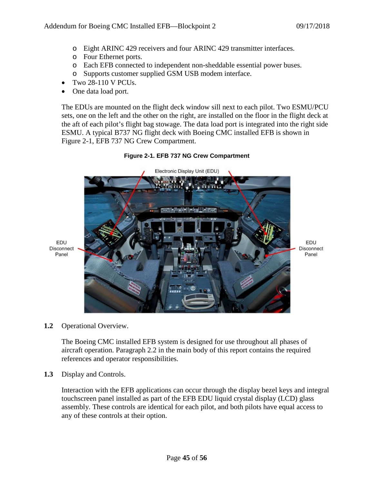- o Eight ARINC 429 receivers and four ARINC 429 transmitter interfaces.
- o Four Ethernet ports.
- o Each EFB connected to independent non-sheddable essential power buses.
- o Supports customer supplied GSM USB modem interface.
- Two 28-110 V PCUs.
- One data load port.

The EDUs are mounted on the flight deck window sill next to each pilot. Two ESMU/PCU sets, one on the left and the other on the right, are installed on the floor in the flight deck at the aft of each pilot's flight bag stowage. The data load port is integrated into the right side ESMU. A typical B737 NG flight deck with Boeing CMC installed EFB is shown in Figure 2-1, EFB 737 NG Crew Compartment.

<span id="page-44-0"></span>

#### **Figure 2-1. EFB 737 NG Crew Compartment**

**1.2** Operational Overview.

The Boeing CMC installed EFB system is designed for use throughout all phases of aircraft operation. Paragraph 2.2 in the main body of this report contains the required references and operator responsibilities.

**1.3** Display and Controls.

Interaction with the EFB applications can occur through the display bezel keys and integral touchscreen panel installed as part of the EFB EDU liquid crystal display (LCD) glass assembly. These controls are identical for each pilot, and both pilots have equal access to any of these controls at their option.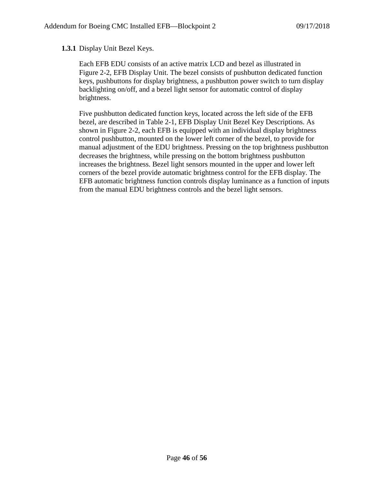#### **1.3.1** Display Unit Bezel Keys.

Each EFB EDU consists of an active matrix LCD and bezel as illustrated in Figure 2-2, EFB Display Unit. The bezel consists of pushbutton dedicated function keys, pushbuttons for display brightness, a pushbutton power switch to turn display backlighting on/off, and a bezel light sensor for automatic control of display brightness.

Five pushbutton dedicated function keys, located across the left side of the EFB bezel, are described in Table 2-1, EFB Display Unit Bezel Key Descriptions. As shown in Figure 2-2, each EFB is equipped with an individual display brightness control pushbutton, mounted on the lower left corner of the bezel, to provide for manual adjustment of the EDU brightness. Pressing on the top brightness pushbutton decreases the brightness, while pressing on the bottom brightness pushbutton increases the brightness. Bezel light sensors mounted in the upper and lower left corners of the bezel provide automatic brightness control for the EFB display. The EFB automatic brightness function controls display luminance as a function of inputs from the manual EDU brightness controls and the bezel light sensors.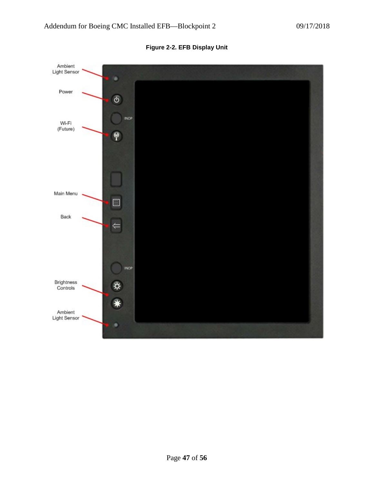<span id="page-46-0"></span>

**Figure 2-2. EFB Display Unit**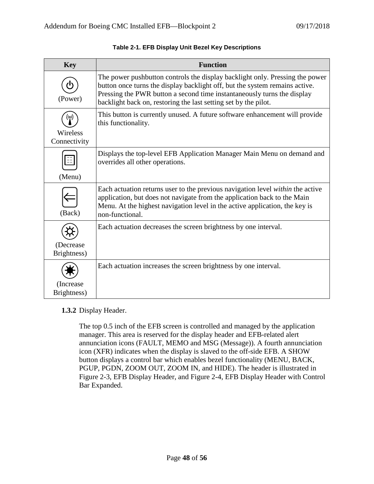<span id="page-47-0"></span>

| <b>Key</b>                | <b>Function</b>                                                                                                                                                                                                                                                                                           |
|---------------------------|-----------------------------------------------------------------------------------------------------------------------------------------------------------------------------------------------------------------------------------------------------------------------------------------------------------|
| (Power)                   | The power pushbutton controls the display backlight only. Pressing the power<br>button once turns the display backlight off, but the system remains active.<br>Pressing the PWR button a second time instantaneously turns the display<br>backlight back on, restoring the last setting set by the pilot. |
| Wireless<br>Connectivity  | This button is currently unused. A future software enhancement will provide<br>this functionality.                                                                                                                                                                                                        |
| (Menu)                    | Displays the top-level EFB Application Manager Main Menu on demand and<br>overrides all other operations.                                                                                                                                                                                                 |
| (Back)                    | Each actuation returns user to the previous navigation level <i>within</i> the active<br>application, but does not navigate from the application back to the Main<br>Menu. At the highest navigation level in the active application, the key is<br>non-functional.                                       |
|                           | Each actuation decreases the screen brightness by one interval.                                                                                                                                                                                                                                           |
| (Decrease)<br>Brightness) |                                                                                                                                                                                                                                                                                                           |
|                           | Each actuation increases the screen brightness by one interval.                                                                                                                                                                                                                                           |
| (Increase)<br>Brightness) |                                                                                                                                                                                                                                                                                                           |

#### **Table 2-1. EFB Display Unit Bezel Key Descriptions**

#### **1.3.2** Display Header.

The top 0.5 inch of the EFB screen is controlled and managed by the application manager. This area is reserved for the display header and EFB-related alert annunciation icons (FAULT, MEMO and MSG (Message)). A fourth annunciation icon (XFR) indicates when the display is slaved to the off-side EFB. A SHOW button displays a control bar which enables bezel functionality (MENU, BACK, PGUP, PGDN, ZOOM OUT, ZOOM IN, and HIDE). The header is illustrated in Figure 2-3, EFB Display Header, and Figure 2-4, EFB Display Header with Control Bar Expanded.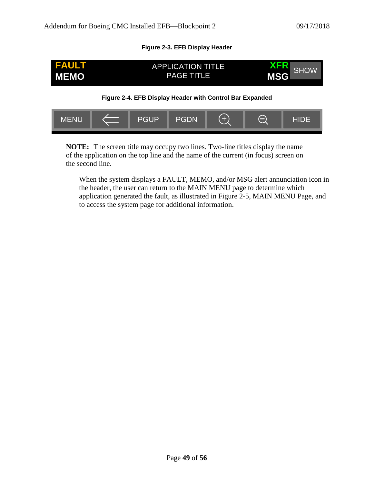#### **Figure 2-3. EFB Display Header**

<span id="page-48-0"></span>

<span id="page-48-1"></span>

**NOTE:** The screen title may occupy two lines. Two-line titles display the name of the application on the top line and the name of the current (in focus) screen on the second line.

When the system displays a FAULT, MEMO, and/or MSG alert annunciation icon in the header, the user can return to the MAIN MENU page to determine which application generated the fault, as illustrated in Figure 2-5, MAIN MENU Page, and to access the system page for additional information.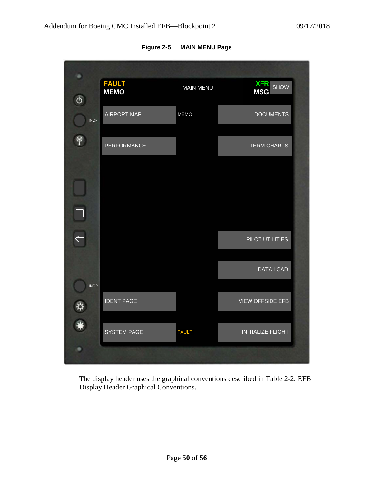<span id="page-49-0"></span>

| ۰              |                             |                  |                          |
|----------------|-----------------------------|------------------|--------------------------|
| ტ              | <b>FAULT</b><br><b>MEMO</b> | <b>MAIN MENU</b> | <b>XFR</b> SHOW          |
| <b>INOP</b>    | <b>AIRPORT MAP</b>          | <b>MEMO</b>      | <b>DOCUMENTS</b>         |
|                | PERFORMANCE                 |                  | <b>TERM CHARTS</b>       |
|                |                             |                  |                          |
| $\blacksquare$ |                             |                  |                          |
|                |                             |                  | PILOT UTILITIES          |
|                |                             |                  | DATA LOAD                |
| <b>INOP</b>    | <b>IDENT PAGE</b>           |                  | <b>VIEW OFFSIDE EFB</b>  |
|                | <b>SYSTEM PAGE</b>          | <b>FAULT</b>     | <b>INITIALIZE FLIGHT</b> |
|                |                             |                  |                          |

**Figure 2-5 MAIN MENU Page**

The display header uses the graphical conventions described in Table 2-2, EFB Display Header Graphical Conventions.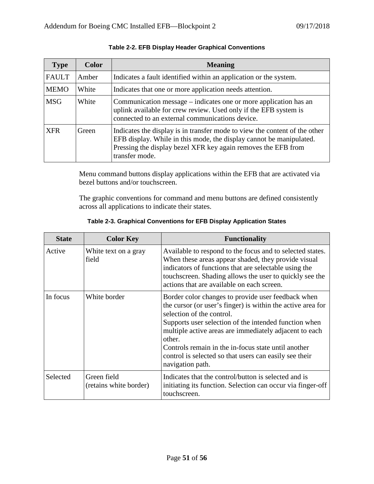<span id="page-50-0"></span>

| <b>Type</b>  | <b>Color</b> | <b>Meaning</b>                                                                                                                                                                                                                       |
|--------------|--------------|--------------------------------------------------------------------------------------------------------------------------------------------------------------------------------------------------------------------------------------|
| <b>FAULT</b> | Amber        | Indicates a fault identified within an application or the system.                                                                                                                                                                    |
| <b>MEMO</b>  | White        | Indicates that one or more application needs attention.                                                                                                                                                                              |
| <b>MSG</b>   | White        | Communication message – indicates one or more application has an<br>uplink available for crew review. Used only if the EFB system is<br>connected to an external communications device.                                              |
| <b>XFR</b>   | Green        | Indicates the display is in transfer mode to view the content of the other<br>EFB display. While in this mode, the display cannot be manipulated.<br>Pressing the display bezel XFR key again removes the EFB from<br>transfer mode. |

#### **Table 2-2. EFB Display Header Graphical Conventions**

Menu command buttons display applications within the EFB that are activated via bezel buttons and/or touchscreen.

The graphic conventions for command and menu buttons are defined consistently across all applications to indicate their states.

<span id="page-50-1"></span>

| <b>State</b> | <b>Color Key</b>                      | <b>Functionality</b>                                                                                                                                                                                                                                                                                                                                                                                             |
|--------------|---------------------------------------|------------------------------------------------------------------------------------------------------------------------------------------------------------------------------------------------------------------------------------------------------------------------------------------------------------------------------------------------------------------------------------------------------------------|
| Active       | White text on a gray<br>field         | Available to respond to the focus and to selected states.<br>When these areas appear shaded, they provide visual<br>indicators of functions that are selectable using the<br>touchscreen. Shading allows the user to quickly see the<br>actions that are available on each screen.                                                                                                                               |
| In focus     | White border                          | Border color changes to provide user feedback when<br>the cursor (or user's finger) is within the active area for<br>selection of the control.<br>Supports user selection of the intended function when<br>multiple active areas are immediately adjacent to each<br>other.<br>Controls remain in the in-focus state until another<br>control is selected so that users can easily see their<br>navigation path. |
| Selected     | Green field<br>(retains white border) | Indicates that the control/button is selected and is<br>initiating its function. Selection can occur via finger-off<br>touchscreen.                                                                                                                                                                                                                                                                              |

**Table 2-3. Graphical Conventions for EFB Display Application States**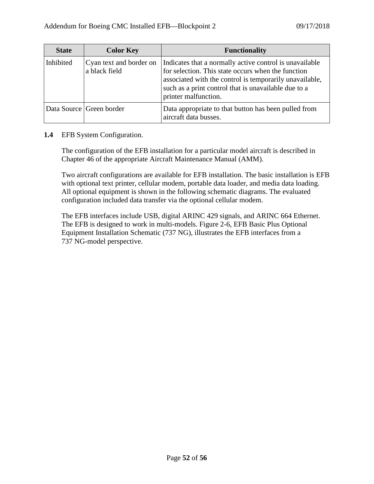| <b>State</b> | <b>Color Key</b>                         | <b>Functionality</b>                                                                                                                                                                                                                                     |
|--------------|------------------------------------------|----------------------------------------------------------------------------------------------------------------------------------------------------------------------------------------------------------------------------------------------------------|
| Inhibited    | Cyan text and border on<br>a black field | Indicates that a normally active control is unavailable<br>for selection. This state occurs when the function<br>associated with the control is temporarily unavailable,<br>such as a print control that is unavailable due to a<br>printer malfunction. |
|              | Data Source Green border                 | Data appropriate to that button has been pulled from<br>aircraft data busses.                                                                                                                                                                            |

#### **1.4** EFB System Configuration.

The configuration of the EFB installation for a particular model aircraft is described in Chapter 46 of the appropriate Aircraft Maintenance Manual (AMM).

Two aircraft configurations are available for EFB installation. The basic installation is EFB with optional text printer, cellular modem, portable data loader, and media data loading. All optional equipment is shown in the following schematic diagrams. The evaluated configuration included data transfer via the optional cellular modem.

The EFB interfaces include USB, digital ARINC 429 signals, and ARINC 664 Ethernet. The EFB is designed to work in multi-models. Figure 2-6, EFB Basic Plus Optional Equipment Installation Schematic (737 NG), illustrates the EFB interfaces from a 737 NG-model perspective.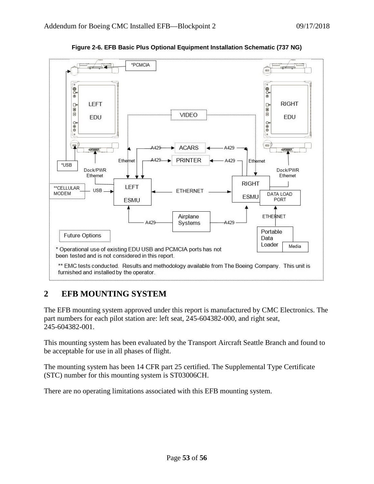<span id="page-52-1"></span>

**Figure 2-6. EFB Basic Plus Optional Equipment Installation Schematic (737 NG)**

## <span id="page-52-0"></span>**2 EFB MOUNTING SYSTEM**

The EFB mounting system approved under this report is manufactured by CMC Electronics. The part numbers for each pilot station are: left seat, 245-604382-000, and right seat, 245-604382-001.

This mounting system has been evaluated by the Transport Aircraft Seattle Branch and found to be acceptable for use in all phases of flight.

The mounting system has been 14 CFR part 25 certified. The Supplemental Type Certificate (STC) number for this mounting system is ST03006CH.

There are no operating limitations associated with this EFB mounting system.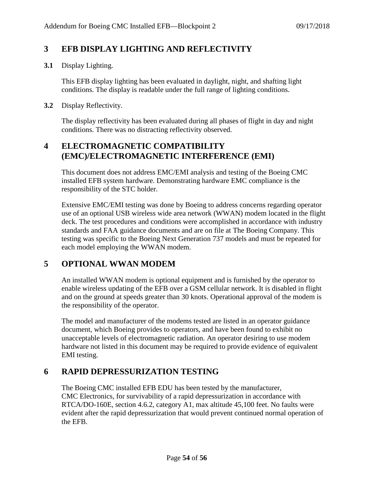### <span id="page-53-0"></span>**3 EFB DISPLAY LIGHTING AND REFLECTIVITY**

**3.1** Display Lighting.

This EFB display lighting has been evaluated in daylight, night, and shafting light conditions. The display is readable under the full range of lighting conditions.

#### **3.2** Display Reflectivity.

The display reflectivity has been evaluated during all phases of flight in day and night conditions. There was no distracting reflectivity observed.

### <span id="page-53-1"></span>**4 ELECTROMAGNETIC COMPATIBILITY (EMC)/ELECTROMAGNETIC INTERFERENCE (EMI)**

This document does not address EMC/EMI analysis and testing of the Boeing CMC installed EFB system hardware. Demonstrating hardware EMC compliance is the responsibility of the STC holder.

Extensive EMC/EMI testing was done by Boeing to address concerns regarding operator use of an optional USB wireless wide area network (WWAN) modem located in the flight deck. The test procedures and conditions were accomplished in accordance with industry standards and FAA guidance documents and are on file at The Boeing Company. This testing was specific to the Boeing Next Generation 737 models and must be repeated for each model employing the WWAN modem.

#### <span id="page-53-2"></span>**5 OPTIONAL WWAN MODEM**

An installed WWAN modem is optional equipment and is furnished by the operator to enable wireless updating of the EFB over a GSM cellular network. It is disabled in flight and on the ground at speeds greater than 30 knots. Operational approval of the modem is the responsibility of the operator.

The model and manufacturer of the modems tested are listed in an operator guidance document, which Boeing provides to operators, and have been found to exhibit no unacceptable levels of electromagnetic radiation. An operator desiring to use modem hardware not listed in this document may be required to provide evidence of equivalent EMI testing.

#### <span id="page-53-3"></span>**6 RAPID DEPRESSURIZATION TESTING**

The Boeing CMC installed EFB EDU has been tested by the manufacturer, CMC Electronics, for survivability of a rapid depressurization in accordance with RTCA/DO-160E, section 4.6.2, category A1, max altitude 45,100 feet. No faults were evident after the rapid depressurization that would prevent continued normal operation of the EFB.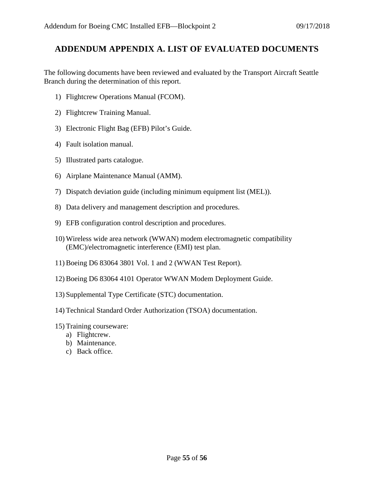#### <span id="page-54-0"></span>**ADDENDUM APPENDIX A. LIST OF EVALUATED DOCUMENTS**

The following documents have been reviewed and evaluated by the Transport Aircraft Seattle Branch during the determination of this report.

- 1) Flightcrew Operations Manual (FCOM).
- 2) Flightcrew Training Manual.
- 3) Electronic Flight Bag (EFB) Pilot's Guide.
- 4) Fault isolation manual.
- 5) Illustrated parts catalogue.
- 6) Airplane Maintenance Manual (AMM).
- 7) Dispatch deviation guide (including minimum equipment list (MEL)).
- 8) Data delivery and management description and procedures.
- 9) EFB configuration control description and procedures.
- 10) Wireless wide area network (WWAN) modem electromagnetic compatibility (EMC)/electromagnetic interference (EMI) test plan.
- 11) Boeing D6 83064 3801 Vol. 1 and 2 (WWAN Test Report).
- 12) Boeing D6 83064 4101 Operator WWAN Modem Deployment Guide.
- 13) Supplemental Type Certificate (STC) documentation.
- 14) Technical Standard Order Authorization (TSOA) documentation.
- 15) Training courseware:
	- a) Flightcrew.
	- b) Maintenance.
	- c) Back office.